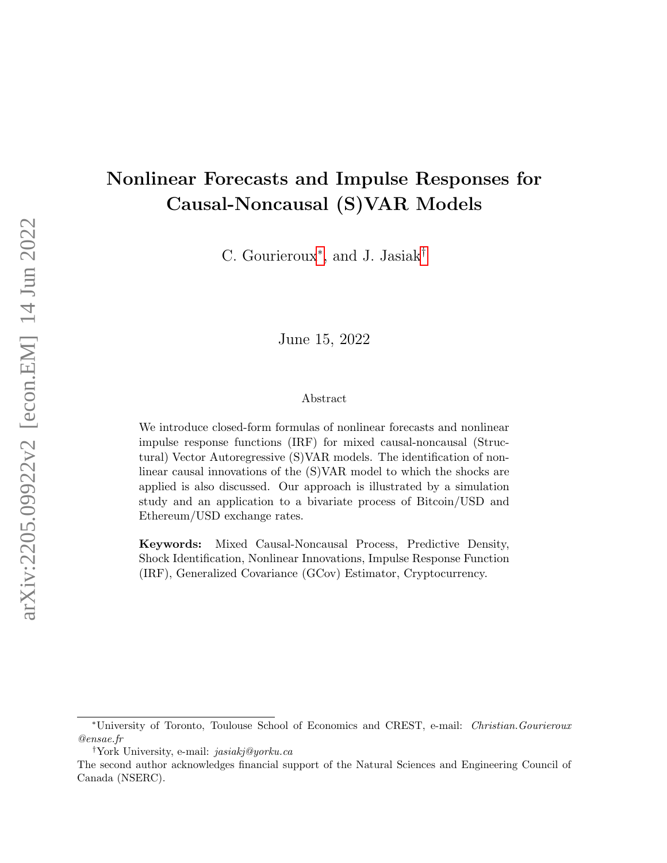# Nonlinear Forecasts and Impulse Responses for Causal-Noncausal (S)VAR Models

C. Gourieroux<sup>\*</sup>, and J. Jasiak<sup>[†](#page-0-1)</sup>

June 15, 2022

#### Abstract

We introduce closed-form formulas of nonlinear forecasts and nonlinear impulse response functions (IRF) for mixed causal-noncausal (Structural) Vector Autoregressive (S)VAR models. The identification of nonlinear causal innovations of the (S)VAR model to which the shocks are applied is also discussed. Our approach is illustrated by a simulation study and an application to a bivariate process of Bitcoin/USD and Ethereum/USD exchange rates.

Keywords: Mixed Causal-Noncausal Process, Predictive Density, Shock Identification, Nonlinear Innovations, Impulse Response Function (IRF), Generalized Covariance (GCov) Estimator, Cryptocurrency.

<span id="page-0-0"></span><sup>∗</sup>University of Toronto, Toulouse School of Economics and CREST, e-mail: Christian.Gourieroux @ensae.fr

<span id="page-0-1"></span><sup>†</sup>York University, e-mail: jasiakj@yorku.ca

The second author acknowledges financial support of the Natural Sciences and Engineering Council of Canada (NSERC).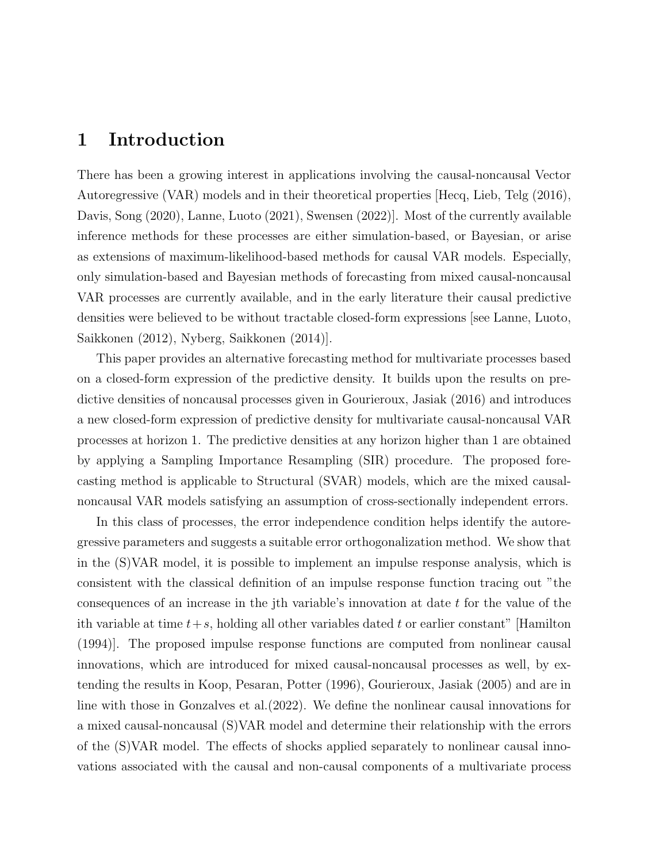## 1 Introduction

There has been a growing interest in applications involving the causal-noncausal Vector Autoregressive (VAR) models and in their theoretical properties [Hecq, Lieb, Telg (2016), Davis, Song (2020), Lanne, Luoto (2021), Swensen (2022)]. Most of the currently available inference methods for these processes are either simulation-based, or Bayesian, or arise as extensions of maximum-likelihood-based methods for causal VAR models. Especially, only simulation-based and Bayesian methods of forecasting from mixed causal-noncausal VAR processes are currently available, and in the early literature their causal predictive densities were believed to be without tractable closed-form expressions [see Lanne, Luoto, Saikkonen (2012), Nyberg, Saikkonen (2014)].

This paper provides an alternative forecasting method for multivariate processes based on a closed-form expression of the predictive density. It builds upon the results on predictive densities of noncausal processes given in Gourieroux, Jasiak (2016) and introduces a new closed-form expression of predictive density for multivariate causal-noncausal VAR processes at horizon 1. The predictive densities at any horizon higher than 1 are obtained by applying a Sampling Importance Resampling (SIR) procedure. The proposed forecasting method is applicable to Structural (SVAR) models, which are the mixed causalnoncausal VAR models satisfying an assumption of cross-sectionally independent errors.

In this class of processes, the error independence condition helps identify the autoregressive parameters and suggests a suitable error orthogonalization method. We show that in the (S)VAR model, it is possible to implement an impulse response analysis, which is consistent with the classical definition of an impulse response function tracing out "the consequences of an increase in the jth variable's innovation at date t for the value of the ith variable at time  $t+s$ , holding all other variables dated t or earlier constant" [Hamilton] (1994)]. The proposed impulse response functions are computed from nonlinear causal innovations, which are introduced for mixed causal-noncausal processes as well, by extending the results in Koop, Pesaran, Potter (1996), Gourieroux, Jasiak (2005) and are in line with those in Gonzalves et al.(2022). We define the nonlinear causal innovations for a mixed causal-noncausal (S)VAR model and determine their relationship with the errors of the (S)VAR model. The effects of shocks applied separately to nonlinear causal innovations associated with the causal and non-causal components of a multivariate process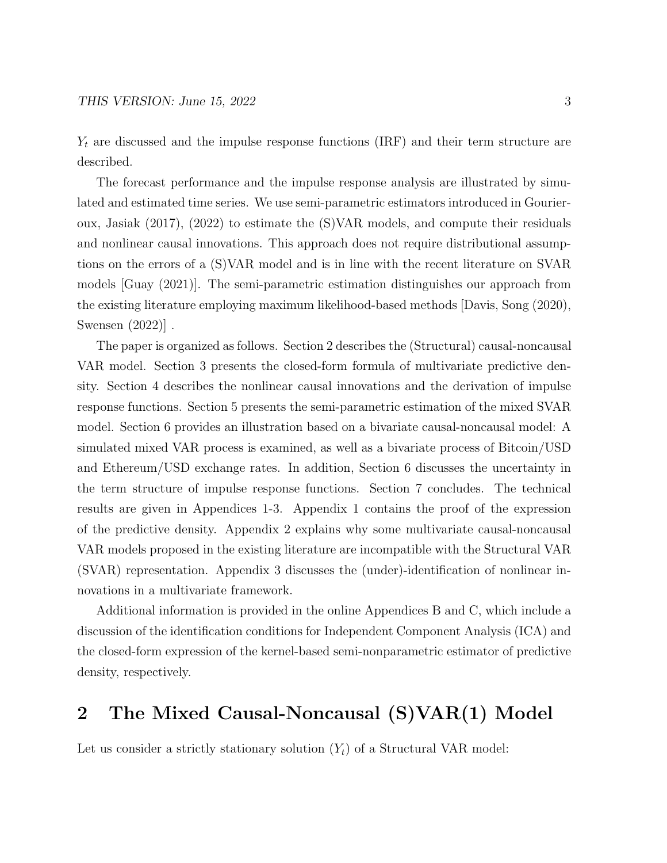$Y_t$  are discussed and the impulse response functions (IRF) and their term structure are described.

The forecast performance and the impulse response analysis are illustrated by simulated and estimated time series. We use semi-parametric estimators introduced in Gourieroux, Jasiak (2017), (2022) to estimate the (S)VAR models, and compute their residuals and nonlinear causal innovations. This approach does not require distributional assumptions on the errors of a (S)VAR model and is in line with the recent literature on SVAR models [Guay (2021)]. The semi-parametric estimation distinguishes our approach from the existing literature employing maximum likelihood-based methods [Davis, Song (2020), Swensen (2022)] .

The paper is organized as follows. Section 2 describes the (Structural) causal-noncausal VAR model. Section 3 presents the closed-form formula of multivariate predictive density. Section 4 describes the nonlinear causal innovations and the derivation of impulse response functions. Section 5 presents the semi-parametric estimation of the mixed SVAR model. Section 6 provides an illustration based on a bivariate causal-noncausal model: A simulated mixed VAR process is examined, as well as a bivariate process of Bitcoin/USD and Ethereum/USD exchange rates. In addition, Section 6 discusses the uncertainty in the term structure of impulse response functions. Section 7 concludes. The technical results are given in Appendices 1-3. Appendix 1 contains the proof of the expression of the predictive density. Appendix 2 explains why some multivariate causal-noncausal VAR models proposed in the existing literature are incompatible with the Structural VAR (SVAR) representation. Appendix 3 discusses the (under)-identification of nonlinear innovations in a multivariate framework.

Additional information is provided in the online Appendices B and C, which include a discussion of the identification conditions for Independent Component Analysis (ICA) and the closed-form expression of the kernel-based semi-nonparametric estimator of predictive density, respectively.

## 2 The Mixed Causal-Noncausal (S)VAR(1) Model

Let us consider a strictly stationary solution  $(Y_t)$  of a Structural VAR model: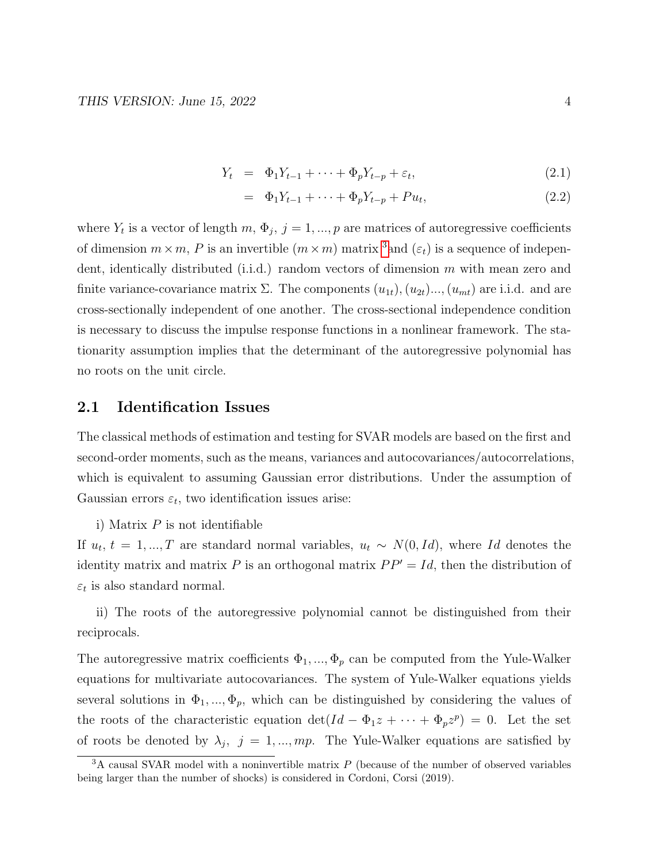$$
Y_t = \Phi_1 Y_{t-1} + \dots + \Phi_p Y_{t-p} + \varepsilon_t, \tag{2.1}
$$

$$
= \Phi_1 Y_{t-1} + \dots + \Phi_p Y_{t-p} + P u_t, \tag{2.2}
$$

where  $Y_t$  is a vector of length  $m, \Phi_j$ ,  $j = 1, ..., p$  are matrices of autoregressive coefficients of dimension  $m \times m$ , P is an invertible  $(m \times m)$  matrix <sup>[3](#page-3-0)</sup> and  $(\varepsilon_t)$  is a sequence of independent, identically distributed (i.i.d.) random vectors of dimension m with mean zero and finite variance-covariance matrix  $\Sigma$ . The components  $(u_{1t}), (u_{2t})..., (u_{mt})$  are i.i.d. and are cross-sectionally independent of one another. The cross-sectional independence condition is necessary to discuss the impulse response functions in a nonlinear framework. The stationarity assumption implies that the determinant of the autoregressive polynomial has no roots on the unit circle.

### 2.1 Identification Issues

The classical methods of estimation and testing for SVAR models are based on the first and second-order moments, such as the means, variances and autocovariances/autocorrelations, which is equivalent to assuming Gaussian error distributions. Under the assumption of Gaussian errors  $\varepsilon_t$ , two identification issues arise:

i) Matrix  $P$  is not identifiable

If  $u_t$ ,  $t = 1, ..., T$  are standard normal variables,  $u_t \sim N(0, Id)$ , where Id denotes the identity matrix and matrix P is an orthogonal matrix  $PP' = Id$ , then the distribution of  $\varepsilon_t$  is also standard normal.

ii) The roots of the autoregressive polynomial cannot be distinguished from their reciprocals.

The autoregressive matrix coefficients  $\Phi_1, ..., \Phi_p$  can be computed from the Yule-Walker equations for multivariate autocovariances. The system of Yule-Walker equations yields several solutions in  $\Phi_1, ..., \Phi_p$ , which can be distinguished by considering the values of the roots of the characteristic equation  $\det(Id - \Phi_1 z + \cdots + \Phi_p z^p) = 0$ . Let the set of roots be denoted by  $\lambda_j$ ,  $j = 1, ..., mp$ . The Yule-Walker equations are satisfied by

<span id="page-3-0"></span> $3A$  causal SVAR model with a noninvertible matrix P (because of the number of observed variables being larger than the number of shocks) is considered in Cordoni, Corsi (2019).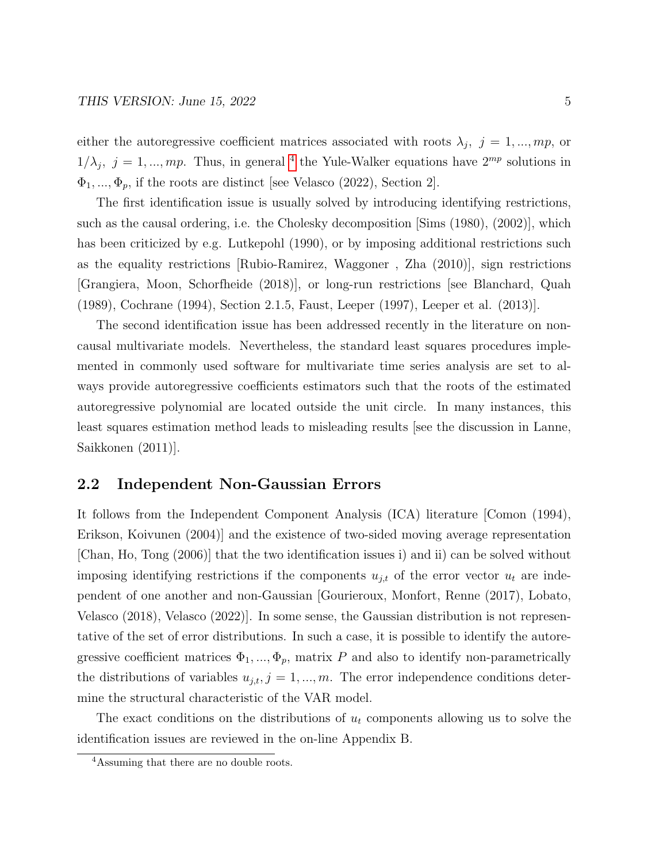either the autoregressive coefficient matrices associated with roots  $\lambda_j$ ,  $j = 1, ..., mp$ , or  $1/\lambda_j$ ,  $j = 1, ..., mp$ . Thus, in general <sup>[4](#page-4-0)</sup> the Yule-Walker equations have  $2^{mp}$  solutions in  $\Phi_1, \ldots, \Phi_p$ , if the roots are distinct [see Velasco (2022), Section 2].

The first identification issue is usually solved by introducing identifying restrictions, such as the causal ordering, i.e. the Cholesky decomposition [Sims (1980), (2002)], which has been criticized by e.g. Lutkepohl (1990), or by imposing additional restrictions such as the equality restrictions [Rubio-Ramirez, Waggoner , Zha (2010)], sign restrictions [Grangiera, Moon, Schorfheide (2018)], or long-run restrictions [see Blanchard, Quah (1989), Cochrane (1994), Section 2.1.5, Faust, Leeper (1997), Leeper et al. (2013)].

The second identification issue has been addressed recently in the literature on noncausal multivariate models. Nevertheless, the standard least squares procedures implemented in commonly used software for multivariate time series analysis are set to always provide autoregressive coefficients estimators such that the roots of the estimated autoregressive polynomial are located outside the unit circle. In many instances, this least squares estimation method leads to misleading results [see the discussion in Lanne, Saikkonen (2011)].

## 2.2 Independent Non-Gaussian Errors

It follows from the Independent Component Analysis (ICA) literature [Comon (1994), Erikson, Koivunen (2004)] and the existence of two-sided moving average representation [Chan, Ho, Tong (2006)] that the two identification issues i) and ii) can be solved without imposing identifying restrictions if the components  $u_{j,t}$  of the error vector  $u_t$  are independent of one another and non-Gaussian [Gourieroux, Monfort, Renne (2017), Lobato, Velasco (2018), Velasco (2022)]. In some sense, the Gaussian distribution is not representative of the set of error distributions. In such a case, it is possible to identify the autoregressive coefficient matrices  $\Phi_1, ..., \Phi_p$ , matrix P and also to identify non-parametrically the distributions of variables  $u_{j,t}$ ,  $j = 1, ..., m$ . The error independence conditions determine the structural characteristic of the VAR model.

The exact conditions on the distributions of  $u_t$  components allowing us to solve the identification issues are reviewed in the on-line Appendix B.

<span id="page-4-0"></span><sup>4</sup>Assuming that there are no double roots.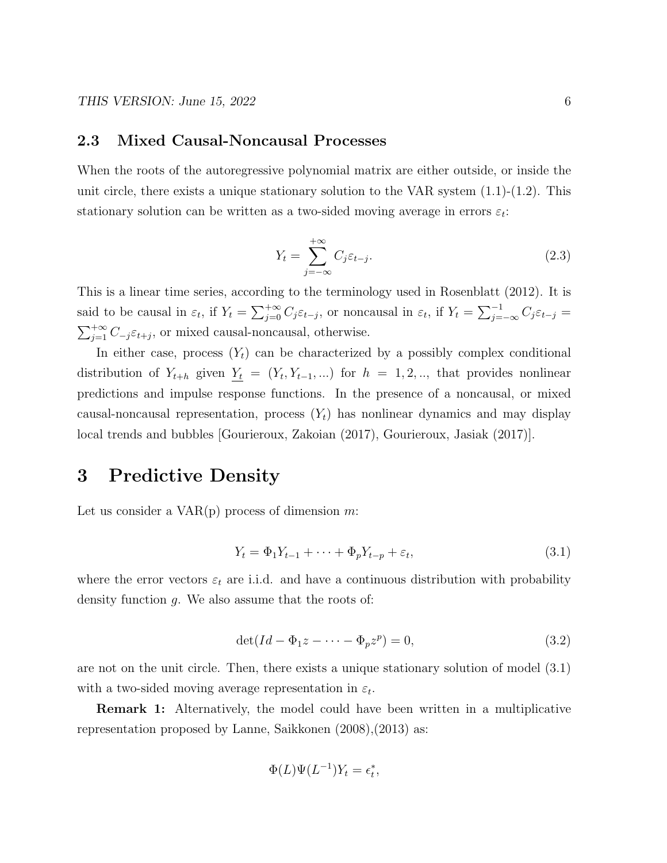### 2.3 Mixed Causal-Noncausal Processes

When the roots of the autoregressive polynomial matrix are either outside, or inside the unit circle, there exists a unique stationary solution to the VAR system  $(1.1)-(1.2)$ . This stationary solution can be written as a two-sided moving average in errors  $\varepsilon_t$ :

$$
Y_t = \sum_{j=-\infty}^{+\infty} C_j \varepsilon_{t-j}.
$$
\n(2.3)

This is a linear time series, according to the terminology used in Rosenblatt (2012). It is said to be causal in  $\varepsilon_t$ , if  $Y_t = \sum_{j=0}^{+\infty} C_j \varepsilon_{t-j}$ , or noncausal in  $\varepsilon_t$ , if  $Y_t = \sum_{j=-\infty}^{-1} C_j \varepsilon_{t-j}$  $\sum_{j=1}^{+\infty} C_{-j} \varepsilon_{t+j}$ , or mixed causal-noncausal, otherwise.

In either case, process  $(Y_t)$  can be characterized by a possibly complex conditional distribution of  $Y_{t+h}$  given  $Y_t = (Y_t, Y_{t-1}, ...)$  for  $h = 1, 2, ...$ , that provides nonlinear predictions and impulse response functions. In the presence of a noncausal, or mixed causal-noncausal representation, process  $(Y_t)$  has nonlinear dynamics and may display local trends and bubbles [Gourieroux, Zakoian (2017), Gourieroux, Jasiak (2017)].

## 3 Predictive Density

Let us consider a  $VAR(p)$  process of dimension m:

$$
Y_t = \Phi_1 Y_{t-1} + \dots + \Phi_p Y_{t-p} + \varepsilon_t,\tag{3.1}
$$

where the error vectors  $\varepsilon_t$  are i.i.d. and have a continuous distribution with probability density function g. We also assume that the roots of:

$$
\det(Id - \Phi_1 z - \dots - \Phi_p z^p) = 0,\tag{3.2}
$$

are not on the unit circle. Then, there exists a unique stationary solution of model (3.1) with a two-sided moving average representation in  $\varepsilon_t$ .

Remark 1: Alternatively, the model could have been written in a multiplicative representation proposed by Lanne, Saikkonen (2008),(2013) as:

$$
\Phi(L)\Psi(L^{-1})Y_t = \epsilon_t^*,
$$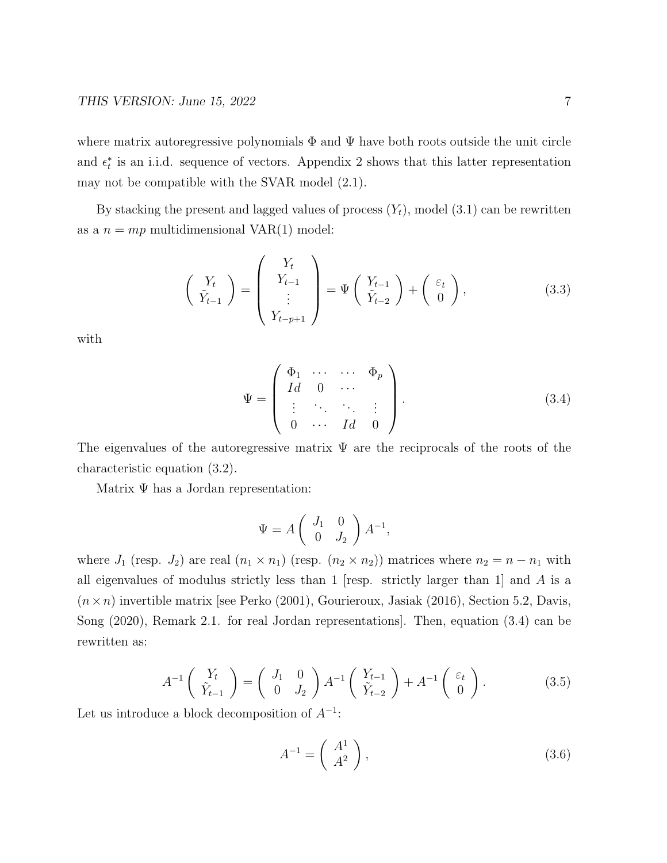where matrix autoregressive polynomials  $\Phi$  and  $\Psi$  have both roots outside the unit circle and  $\epsilon_t^*$  is an i.i.d. sequence of vectors. Appendix 2 shows that this latter representation may not be compatible with the SVAR model (2.1).

By stacking the present and lagged values of process  $(Y_t)$ , model  $(3.1)$  can be rewritten as a  $n = mp$  multidimensional VAR(1) model:

$$
\begin{pmatrix} Y_t \\ \tilde{Y}_{t-1} \end{pmatrix} = \begin{pmatrix} Y_t \\ Y_{t-1} \\ \vdots \\ Y_{t-p+1} \end{pmatrix} = \Psi \begin{pmatrix} Y_{t-1} \\ \tilde{Y}_{t-2} \end{pmatrix} + \begin{pmatrix} \varepsilon_t \\ 0 \end{pmatrix}, \tag{3.3}
$$

with

$$
\Psi = \left( \begin{array}{cccc} \Phi_1 & \cdots & \cdots & \Phi_p \\ Id & 0 & \cdots & \\ \vdots & \ddots & \ddots & \vdots \\ 0 & \cdots & Id & 0 \end{array} \right). \tag{3.4}
$$

The eigenvalues of the autoregressive matrix  $\Psi$  are the reciprocals of the roots of the characteristic equation (3.2).

Matrix  $\Psi$  has a Jordan representation:

$$
\Psi = A \left( \begin{array}{cc} J_1 & 0 \\ 0 & J_2 \end{array} \right) A^{-1},
$$

where  $J_1$  (resp.  $J_2$ ) are real  $(n_1 \times n_1)$  (resp.  $(n_2 \times n_2)$ ) matrices where  $n_2 = n - n_1$  with all eigenvalues of modulus strictly less than 1 [resp. strictly larger than 1] and  $A$  is a  $(n \times n)$  invertible matrix [see Perko (2001), Gourieroux, Jasiak (2016), Section 5.2, Davis, Song (2020), Remark 2.1. for real Jordan representations]. Then, equation (3.4) can be rewritten as:

$$
A^{-1}\begin{pmatrix} Y_t \\ \tilde{Y}_{t-1} \end{pmatrix} = \begin{pmatrix} J_1 & 0 \\ 0 & J_2 \end{pmatrix} A^{-1} \begin{pmatrix} Y_{t-1} \\ \tilde{Y}_{t-2} \end{pmatrix} + A^{-1} \begin{pmatrix} \varepsilon_t \\ 0 \end{pmatrix}.
$$
 (3.5)

Let us introduce a block decomposition of  $A^{-1}$ :

$$
A^{-1} = \left(\begin{array}{c} A^1 \\ A^2 \end{array}\right),\tag{3.6}
$$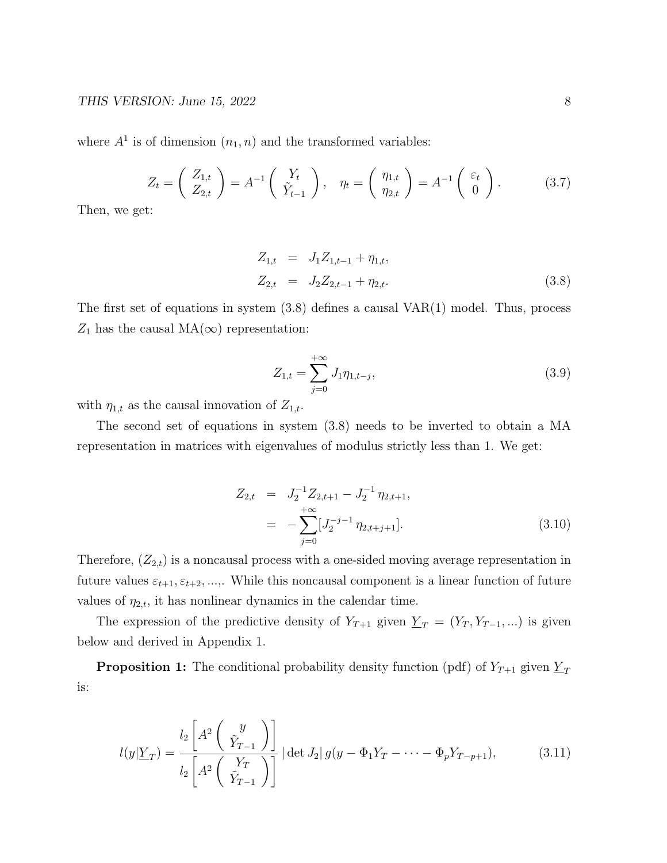where  $A<sup>1</sup>$  is of dimension  $(n_1, n)$  and the transformed variables:

$$
Z_t = \begin{pmatrix} Z_{1,t} \\ Z_{2,t} \end{pmatrix} = A^{-1} \begin{pmatrix} Y_t \\ \tilde{Y}_{t-1} \end{pmatrix}, \quad \eta_t = \begin{pmatrix} \eta_{1,t} \\ \eta_{2,t} \end{pmatrix} = A^{-1} \begin{pmatrix} \varepsilon_t \\ 0 \end{pmatrix}.
$$
 (3.7)

Then, we get:

$$
Z_{1,t} = J_1 Z_{1,t-1} + \eta_{1,t},
$$
  
\n
$$
Z_{2,t} = J_2 Z_{2,t-1} + \eta_{2,t}.
$$
\n(3.8)

The first set of equations in system  $(3.8)$  defines a causal  $VAR(1)$  model. Thus, process  $Z_1$  has the causal MA( $\infty$ ) representation:

$$
Z_{1,t} = \sum_{j=0}^{+\infty} J_1 \eta_{1,t-j},
$$
\n(3.9)

with  $\eta_{1,t}$  as the causal innovation of  $Z_{1,t}$ .

The second set of equations in system (3.8) needs to be inverted to obtain a MA representation in matrices with eigenvalues of modulus strictly less than 1. We get:

$$
Z_{2,t} = J_2^{-1} Z_{2,t+1} - J_2^{-1} \eta_{2,t+1},
$$
  
= 
$$
-\sum_{j=0}^{+\infty} [J_2^{-j-1} \eta_{2,t+j+1}].
$$
 (3.10)

Therefore,  $(Z_{2,t})$  is a noncausal process with a one-sided moving average representation in future values  $\varepsilon_{t+1}, \varepsilon_{t+2}, \ldots$ , While this noncausal component is a linear function of future values of  $\eta_{2,t}$ , it has nonlinear dynamics in the calendar time.

The expression of the predictive density of  $Y_{T+1}$  given  $\underline{Y}_T = (Y_T, Y_{T-1}, ...)$  is given below and derived in Appendix 1.

**Proposition 1:** The conditional probability density function (pdf) of  $Y_{T+1}$  given  $Y_T$ is:

$$
l(y|\underline{Y}_T) = \frac{l_2 \left[ A^2 \left( \begin{array}{c} y \\ \tilde{Y}_{T-1} \end{array} \right) \right]}{l_2 \left[ A^2 \left( \begin{array}{c} Y_T \\ \tilde{Y}_{T-1} \end{array} \right) \right]} | \det J_2 | g(y - \Phi_1 Y_T - \dots - \Phi_p Y_{T-p+1}), \tag{3.11}
$$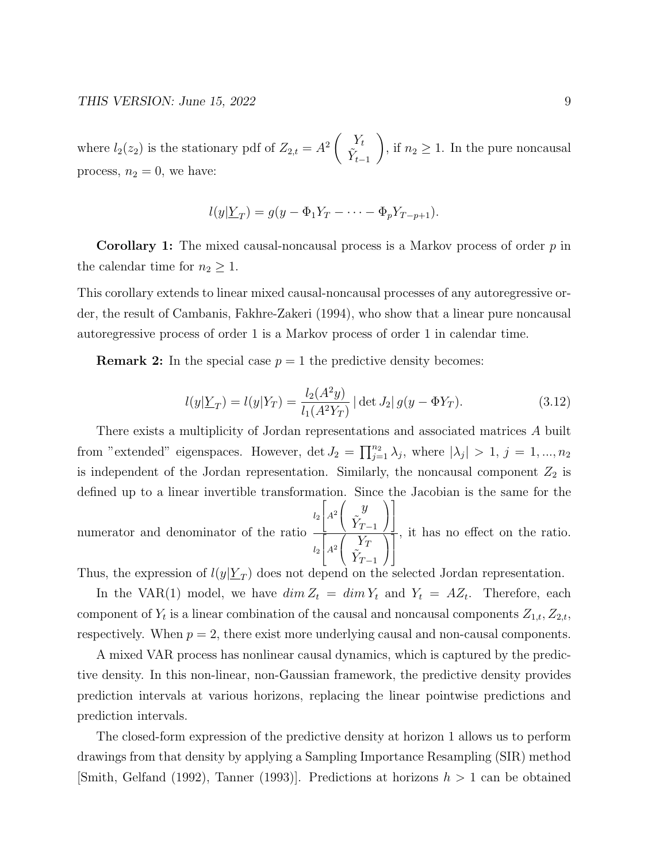where  $l_2(z_2)$  is the stationary pdf of  $Z_{2,t} = A^2 \begin{pmatrix} Y_t \\ \tilde{Y} \end{pmatrix}$  $\tilde{Y}_{t-1}$  $\setminus$ , if  $n_2 \geq 1$ . In the pure noncausal process,  $n_2 = 0$ , we have:

$$
l(y|\underline{Y}_T) = g(y - \Phi_1 Y_T - \dots - \Phi_p Y_{T-p+1}).
$$

**Corollary 1:** The mixed causal-noncausal process is a Markov process of order  $p$  in the calendar time for  $n_2 \geq 1$ .

This corollary extends to linear mixed causal-noncausal processes of any autoregressive order, the result of Cambanis, Fakhre-Zakeri (1994), who show that a linear pure noncausal autoregressive process of order 1 is a Markov process of order 1 in calendar time.

**Remark 2:** In the special case  $p = 1$  the predictive density becomes:

$$
l(y|\underline{Y}_T) = l(y|Y_T) = \frac{l_2(A^2y)}{l_1(A^2Y_T)} |\det J_2| g(y - \Phi Y_T).
$$
 (3.12)

There exists a multiplicity of Jordan representations and associated matrices A built from "extended" eigenspaces. However, det  $J_2 = \prod_{j=1}^{n_2} \lambda_j$ , where  $|\lambda_j| > 1$ ,  $j = 1, ..., n_2$ is independent of the Jordan representation. Similarly, the noncausal component  $Z_2$  is defined up to a linear invertible transformation. Since the Jacobian is the same for the  $\sqrt{ }$  $\sqrt{ }$  $\setminus$ 1

numerator and denominator of the ratio  $l_2$  $\Big|A^2$  $\mathcal{L}$  $\hat{y}$  $\tilde{Y}_{T-1}$  $\overline{1}$  $\mathbf{I}$  $l_2$  $\sqrt{ }$  $\Big|A^2$  $\sqrt{ }$  $\mathcal{L}$  $Y_T$  $\tilde{Y}_{T-1}$  $\setminus$  $\overline{1}$ 1  $\mathbf{I}$ , it has no effect on the ratio.

Thus, the expression of  $l(y|\underline{Y}_T)$  does not depend on the selected Jordan representation.

In the VAR(1) model, we have  $\dim Z_t = \dim Y_t$  and  $Y_t = AZ_t$ . Therefore, each component of  $Y_t$  is a linear combination of the causal and noncausal components  $Z_{1,t}$ ,  $Z_{2,t}$ , respectively. When  $p = 2$ , there exist more underlying causal and non-causal components.

A mixed VAR process has nonlinear causal dynamics, which is captured by the predictive density. In this non-linear, non-Gaussian framework, the predictive density provides prediction intervals at various horizons, replacing the linear pointwise predictions and prediction intervals.

The closed-form expression of the predictive density at horizon 1 allows us to perform drawings from that density by applying a Sampling Importance Resampling (SIR) method [Smith, Gelfand (1992), Tanner (1993)]. Predictions at horizons  $h > 1$  can be obtained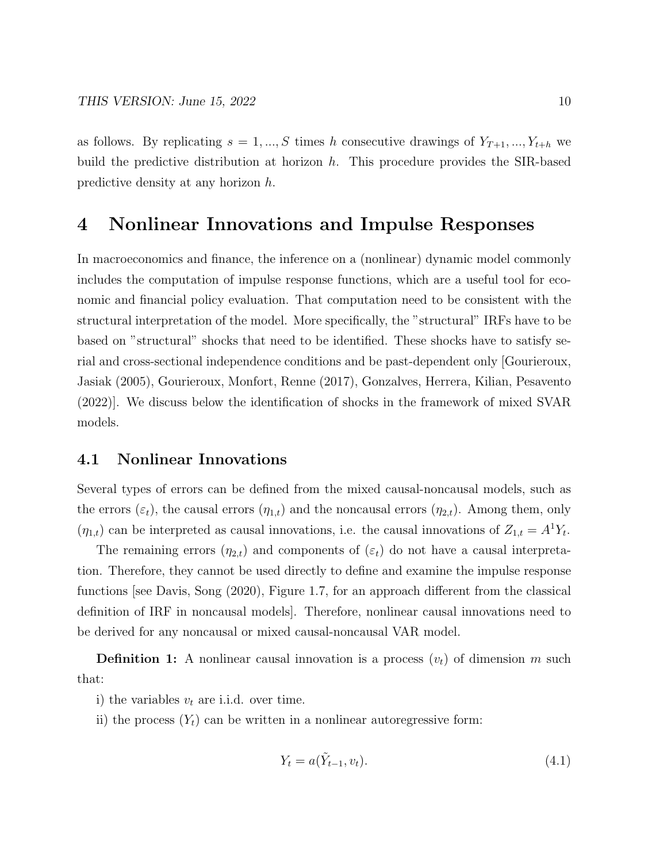as follows. By replicating  $s = 1, ..., S$  times h consecutive drawings of  $Y_{T+1}, ..., Y_{t+h}$  we build the predictive distribution at horizon  $h$ . This procedure provides the SIR-based predictive density at any horizon h.

## 4 Nonlinear Innovations and Impulse Responses

In macroeconomics and finance, the inference on a (nonlinear) dynamic model commonly includes the computation of impulse response functions, which are a useful tool for economic and financial policy evaluation. That computation need to be consistent with the structural interpretation of the model. More specifically, the "structural" IRFs have to be based on "structural" shocks that need to be identified. These shocks have to satisfy serial and cross-sectional independence conditions and be past-dependent only [Gourieroux, Jasiak (2005), Gourieroux, Monfort, Renne (2017), Gonzalves, Herrera, Kilian, Pesavento (2022)]. We discuss below the identification of shocks in the framework of mixed SVAR models.

### 4.1 Nonlinear Innovations

Several types of errors can be defined from the mixed causal-noncausal models, such as the errors  $(\varepsilon_t)$ , the causal errors  $(\eta_{1,t})$  and the noncausal errors  $(\eta_{2,t})$ . Among them, only  $(\eta_{1,t})$  can be interpreted as causal innovations, i.e. the causal innovations of  $Z_{1,t} = A^1 Y_t$ .

The remaining errors  $(\eta_{2,t})$  and components of  $(\varepsilon_t)$  do not have a causal interpretation. Therefore, they cannot be used directly to define and examine the impulse response functions [see Davis, Song (2020), Figure 1.7, for an approach different from the classical definition of IRF in noncausal models]. Therefore, nonlinear causal innovations need to be derived for any noncausal or mixed causal-noncausal VAR model.

**Definition 1:** A nonlinear causal innovation is a process  $(v_t)$  of dimension m such that:

- i) the variables  $v_t$  are i.i.d. over time.
- ii) the process  $(Y_t)$  can be written in a nonlinear autoregressive form:

$$
Y_t = a(\tilde{Y}_{t-1}, v_t). \tag{4.1}
$$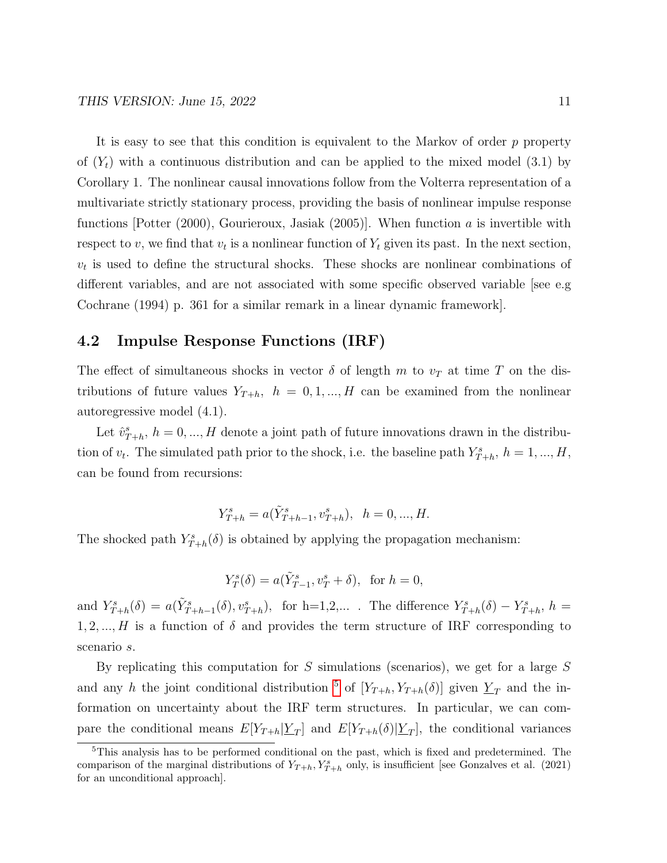It is easy to see that this condition is equivalent to the Markov of order  $p$  property of  $(Y_t)$  with a continuous distribution and can be applied to the mixed model (3.1) by Corollary 1. The nonlinear causal innovations follow from the Volterra representation of a multivariate strictly stationary process, providing the basis of nonlinear impulse response functions [Potter  $(2000)$ , Gourieroux, Jasiak  $(2005)$ ]. When function a is invertible with respect to v, we find that  $v_t$  is a nonlinear function of  $Y_t$  given its past. In the next section,  $v_t$  is used to define the structural shocks. These shocks are nonlinear combinations of different variables, and are not associated with some specific observed variable see e.g Cochrane (1994) p. 361 for a similar remark in a linear dynamic framework].

### 4.2 Impulse Response Functions (IRF)

The effect of simultaneous shocks in vector  $\delta$  of length m to  $v_T$  at time T on the distributions of future values  $Y_{T+h}$ ,  $h = 0, 1, ..., H$  can be examined from the nonlinear autoregressive model (4.1).

Let  $\hat{v}_{T+h}^s$ ,  $h = 0, ..., H$  denote a joint path of future innovations drawn in the distribution of  $v_t$ . The simulated path prior to the shock, i.e. the baseline path  $Y_{T+h}^s$ ,  $h = 1, ..., H$ , can be found from recursions:

$$
Y_{T+h}^s = a(\tilde{Y}_{T+h-1}^s, v_{T+h}^s), \quad h = 0, ..., H.
$$

The shocked path  $Y_{T+h}^s(\delta)$  is obtained by applying the propagation mechanism:

$$
Y_T^s(\delta) = a(\tilde{Y}_{T-1}^s, v_T^s + \delta), \text{ for } h = 0,
$$

and  $Y_{T+h}^s(\delta) = a(\tilde{Y}_{T+h-1}^s(\delta), v_{T+h}^s)$ , for h=1,2,.... The difference  $Y_{T+h}^s(\delta) - Y_{T+h}^s$ , h =  $1, 2, ..., H$  is a function of  $\delta$  and provides the term structure of IRF corresponding to scenario s.

By replicating this computation for S simulations (scenarios), we get for a large  $S$ and any h the joint conditional distribution <sup>[5](#page-10-0)</sup> of  $[Y_{T+h}, Y_{T+h}(\delta)]$  given  $Y_T$  and the information on uncertainty about the IRF term structures. In particular, we can compare the conditional means  $E[Y_{T+h}|\underline{Y}_T]$  and  $E[Y_{T+h}(\delta)|\underline{Y}_T]$ , the conditional variances

<span id="page-10-0"></span><sup>5</sup>This analysis has to be performed conditional on the past, which is fixed and predetermined. The comparison of the marginal distributions of  $Y_{T+h}$ ,  $Y_{T+h}^s$  only, is insufficient [see Gonzalves et al. (2021) for an unconditional approach].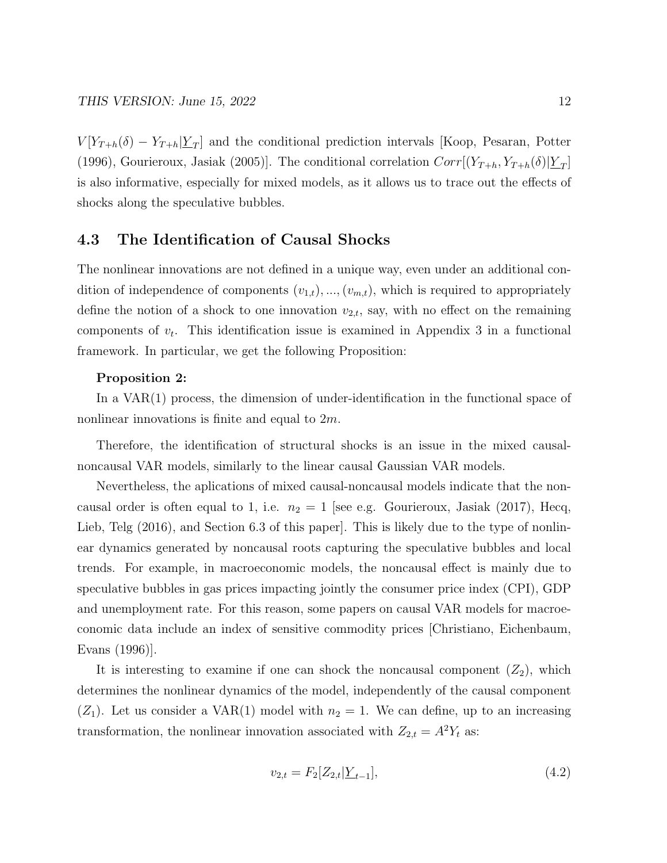$V[Y_{T+h}(\delta) - Y_{T+h} | \underline{Y}_T]$  and the conditional prediction intervals [Koop, Pesaran, Potter (1996), Gourieroux, Jasiak (2005)]. The conditional correlation  $Corr[(Y_{T+h}, Y_{T+h}(\delta)|\underline{Y}_T]$ is also informative, especially for mixed models, as it allows us to trace out the effects of shocks along the speculative bubbles.

### 4.3 The Identification of Causal Shocks

The nonlinear innovations are not defined in a unique way, even under an additional condition of independence of components  $(v_{1,t}), ..., (v_{m,t})$ , which is required to appropriately define the notion of a shock to one innovation  $v_{2,t}$ , say, with no effect on the remaining components of  $v_t$ . This identification issue is examined in Appendix 3 in a functional framework. In particular, we get the following Proposition:

#### Proposition 2:

In a VAR(1) process, the dimension of under-identification in the functional space of nonlinear innovations is finite and equal to  $2m$ .

Therefore, the identification of structural shocks is an issue in the mixed causalnoncausal VAR models, similarly to the linear causal Gaussian VAR models.

Nevertheless, the aplications of mixed causal-noncausal models indicate that the noncausal order is often equal to 1, i.e.  $n_2 = 1$  [see e.g. Gourieroux, Jasiak (2017), Hecq, Lieb, Telg  $(2016)$ , and Section 6.3 of this paper. This is likely due to the type of nonlinear dynamics generated by noncausal roots capturing the speculative bubbles and local trends. For example, in macroeconomic models, the noncausal effect is mainly due to speculative bubbles in gas prices impacting jointly the consumer price index (CPI), GDP and unemployment rate. For this reason, some papers on causal VAR models for macroeconomic data include an index of sensitive commodity prices [Christiano, Eichenbaum, Evans (1996)].

It is interesting to examine if one can shock the noncausal component  $(Z_2)$ , which determines the nonlinear dynamics of the model, independently of the causal component  $(Z_1)$ . Let us consider a VAR(1) model with  $n_2 = 1$ . We can define, up to an increasing transformation, the nonlinear innovation associated with  $Z_{2,t} = A^2 Y_t$  as:

$$
v_{2,t} = F_2[Z_{2,t} | \underline{Y}_{t-1}], \tag{4.2}
$$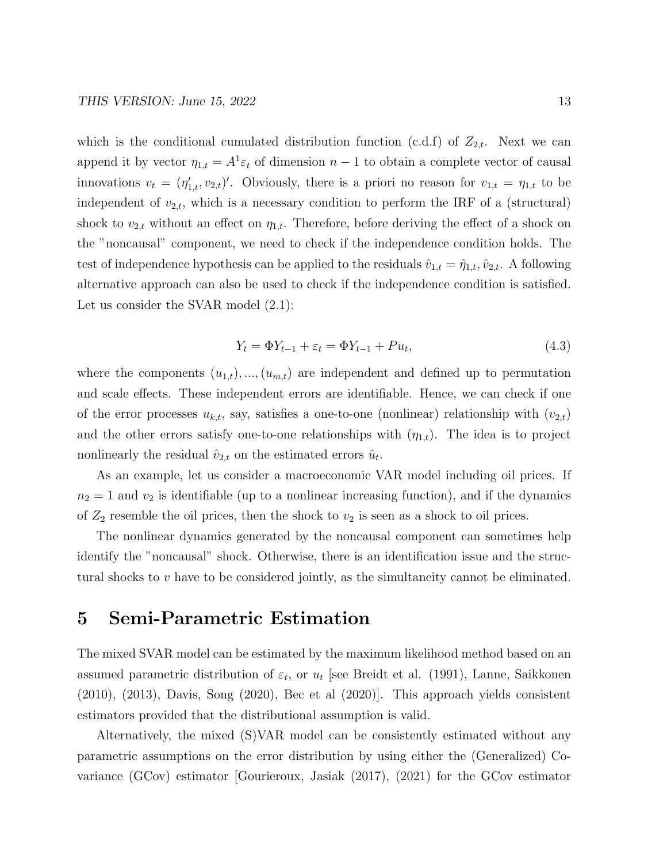which is the conditional cumulated distribution function (c.d.f) of  $Z_{2,t}$ . Next we can append it by vector  $\eta_{1,t} = A^1 \varepsilon_t$  of dimension  $n-1$  to obtain a complete vector of causal innovations  $v_t = (\eta'_{1,t}, v_{2,t})'$ . Obviously, there is a priori no reason for  $v_{1,t} = \eta_{1,t}$  to be independent of  $v_{2,t}$ , which is a necessary condition to perform the IRF of a (structural) shock to  $v_{2,t}$  without an effect on  $\eta_{1,t}$ . Therefore, before deriving the effect of a shock on the "noncausal" component, we need to check if the independence condition holds. The test of independence hypothesis can be applied to the residuals  $\hat{v}_{1,t} = \hat{\eta}_{1,t}, \hat{v}_{2,t}$ . A following alternative approach can also be used to check if the independence condition is satisfied. Let us consider the SVAR model  $(2.1)$ :

$$
Y_t = \Phi Y_{t-1} + \varepsilon_t = \Phi Y_{t-1} + P u_t, \tag{4.3}
$$

where the components  $(u_{1,t}), ..., (u_{m,t})$  are independent and defined up to permutation and scale effects. These independent errors are identifiable. Hence, we can check if one of the error processes  $u_{k,t}$ , say, satisfies a one-to-one (nonlinear) relationship with  $(v_{2,t})$ and the other errors satisfy one-to-one relationships with  $(\eta_{1,t})$ . The idea is to project nonlinearly the residual  $\hat{v}_{2,t}$  on the estimated errors  $\hat{u}_t$ .

As an example, let us consider a macroeconomic VAR model including oil prices. If  $n_2 = 1$  and  $v_2$  is identifiable (up to a nonlinear increasing function), and if the dynamics of  $Z_2$  resemble the oil prices, then the shock to  $v_2$  is seen as a shock to oil prices.

The nonlinear dynamics generated by the noncausal component can sometimes help identify the "noncausal" shock. Otherwise, there is an identification issue and the structural shocks to  $v$  have to be considered jointly, as the simultaneity cannot be eliminated.

## 5 Semi-Parametric Estimation

The mixed SVAR model can be estimated by the maximum likelihood method based on an assumed parametric distribution of  $\varepsilon_t$ , or  $u_t$  [see Breidt et al. (1991), Lanne, Saikkonen (2010), (2013), Davis, Song (2020), Bec et al (2020)]. This approach yields consistent estimators provided that the distributional assumption is valid.

Alternatively, the mixed (S)VAR model can be consistently estimated without any parametric assumptions on the error distribution by using either the (Generalized) Covariance (GCov) estimator [Gourieroux, Jasiak (2017), (2021) for the GCov estimator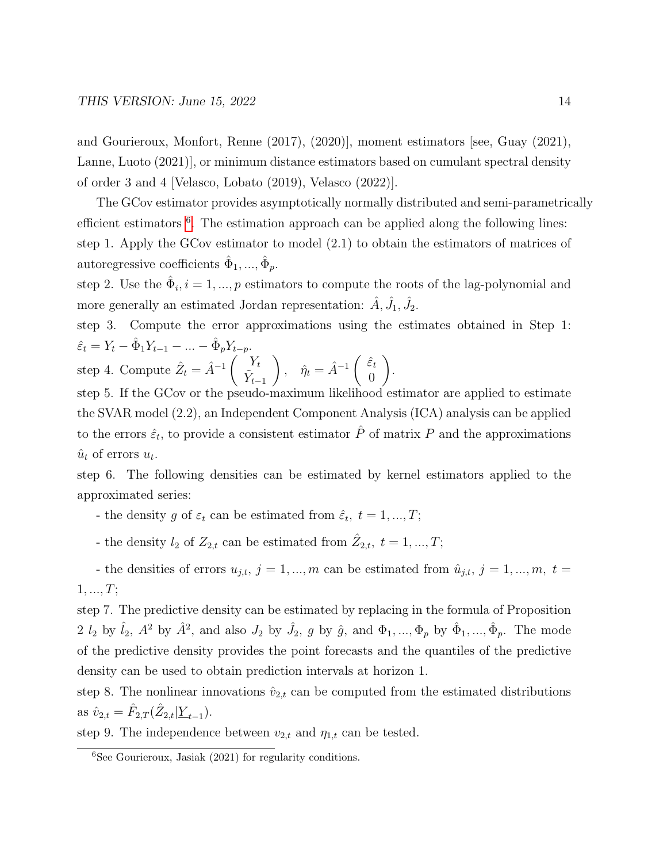and Gourieroux, Monfort, Renne (2017), (2020)], moment estimators [see, Guay (2021), Lanne, Luoto (2021)], or minimum distance estimators based on cumulant spectral density of order 3 and 4 [Velasco, Lobato (2019), Velasco (2022)].

The GCov estimator provides asymptotically normally distributed and semi-parametrically efficient estimators <sup>[6](#page-13-0)</sup>. The estimation approach can be applied along the following lines: step 1. Apply the GCov estimator to model (2.1) to obtain the estimators of matrices of autoregressive coefficients  $\hat{\Phi}_1, ..., \hat{\Phi}_p$ .

step 2. Use the  $\hat{\Phi}_i$ ,  $i = 1, ..., p$  estimators to compute the roots of the lag-polynomial and more generally an estimated Jordan representation:  $\hat{A}$ ,  $\hat{J}_1$ ,  $\hat{J}_2$ .

step 3. Compute the error approximations using the estimates obtained in Step 1:  $\hat{\varepsilon}_t = Y_t - \hat{\Phi}_1 Y_{t-1} - ... - \hat{\Phi}_p Y_{t-p}.$ 

step 4. Compute  $\hat{Z}_t = \hat{A}^{-1} \begin{pmatrix} Y_t \\ \tilde{Y} \end{pmatrix}$  $\tilde{Y}_{t-1}$  $\hat{\eta}_t = \hat{A}^{-1} \begin{pmatrix} \hat{\varepsilon}_t \\ 0 \end{pmatrix}$ 0  $\setminus$ .

step 5. If the GCov or the pseudo-maximum likelihood estimator are applied to estimate the SVAR model (2.2), an Independent Component Analysis (ICA) analysis can be applied to the errors  $\hat{\varepsilon}_t$ , to provide a consistent estimator  $\hat{P}$  of matrix P and the approximations  $\hat{u}_t$  of errors  $u_t$ .

step 6. The following densities can be estimated by kernel estimators applied to the approximated series:

- the density g of  $\varepsilon_t$  can be estimated from  $\hat{\varepsilon}_t$ ,  $t = 1, ..., T$ ;

- the density  $l_2$  of  $Z_{2,t}$  can be estimated from  $\hat{Z}_{2,t}$ ,  $t = 1, ..., T$ ;

- the densities of errors  $u_{j,t}$ ,  $j = 1, ..., m$  can be estimated from  $\hat{u}_{j,t}$ ,  $j = 1, ..., m$ ,  $t =$  $1, ..., T$ ;

step 7. The predictive density can be estimated by replacing in the formula of Proposition 2  $l_2$  by  $\hat{l}_2$ ,  $A^2$  by  $\hat{A}^2$ , and also  $J_2$  by  $\hat{J}_2$ , g by  $\hat{g}$ , and  $\Phi_1, ..., \Phi_p$  by  $\hat{\Phi}_1, ..., \hat{\Phi}_p$ . The mode of the predictive density provides the point forecasts and the quantiles of the predictive density can be used to obtain prediction intervals at horizon 1.

step 8. The nonlinear innovations  $\hat{v}_{2,t}$  can be computed from the estimated distributions as  $\hat{v}_{2,t} = \hat{F}_{2,T}(\hat{Z}_{2,t} | \underline{Y}_{t-1}).$ 

step 9. The independence between  $v_{2,t}$  and  $\eta_{1,t}$  can be tested.

<span id="page-13-0"></span> ${}^{6}$ See Gourieroux, Jasiak (2021) for regularity conditions.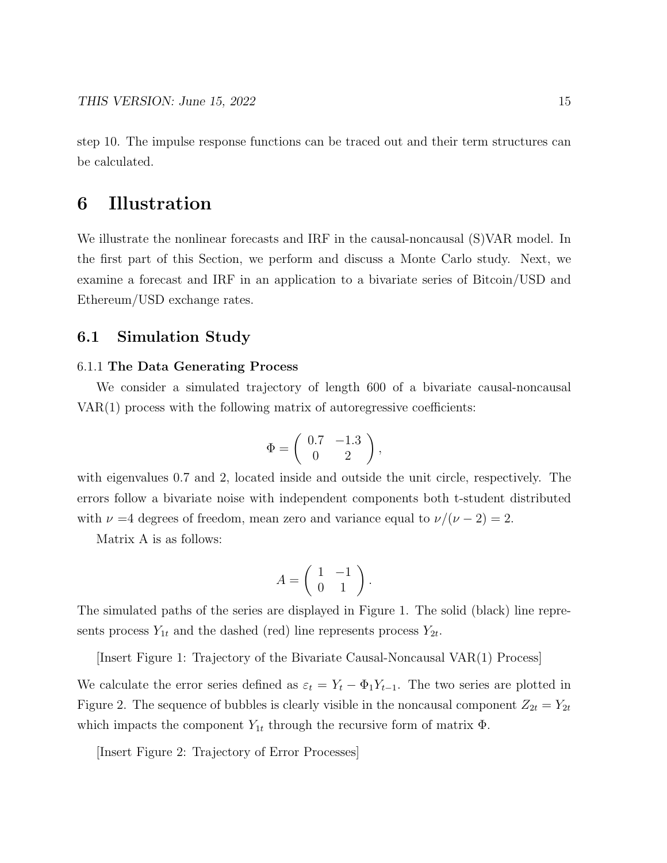step 10. The impulse response functions can be traced out and their term structures can be calculated.

## 6 Illustration

We illustrate the nonlinear forecasts and IRF in the causal-noncausal (S)VAR model. In the first part of this Section, we perform and discuss a Monte Carlo study. Next, we examine a forecast and IRF in an application to a bivariate series of Bitcoin/USD and Ethereum/USD exchange rates.

## 6.1 Simulation Study

#### 6.1.1 The Data Generating Process

We consider a simulated trajectory of length 600 of a bivariate causal-noncausal VAR(1) process with the following matrix of autoregressive coefficients:

$$
\Phi = \left(\begin{array}{cc} 0.7 & -1.3 \\ 0 & 2 \end{array}\right),
$$

with eigenvalues 0.7 and 2, located inside and outside the unit circle, respectively. The errors follow a bivariate noise with independent components both t-student distributed with  $\nu =4$  degrees of freedom, mean zero and variance equal to  $\nu/(\nu - 2) = 2$ .

Matrix A is as follows:

$$
A = \left(\begin{array}{cc} 1 & -1 \\ 0 & 1 \end{array}\right).
$$

The simulated paths of the series are displayed in Figure 1. The solid (black) line represents process  $Y_{1t}$  and the dashed (red) line represents process  $Y_{2t}$ .

[Insert Figure 1: Trajectory of the Bivariate Causal-Noncausal VAR(1) Process]

We calculate the error series defined as  $\varepsilon_t = Y_t - \Phi_1 Y_{t-1}$ . The two series are plotted in Figure 2. The sequence of bubbles is clearly visible in the noncausal component  $Z_{2t} = Y_{2t}$ which impacts the component  $Y_{1t}$  through the recursive form of matrix  $\Phi$ .

[Insert Figure 2: Trajectory of Error Processes]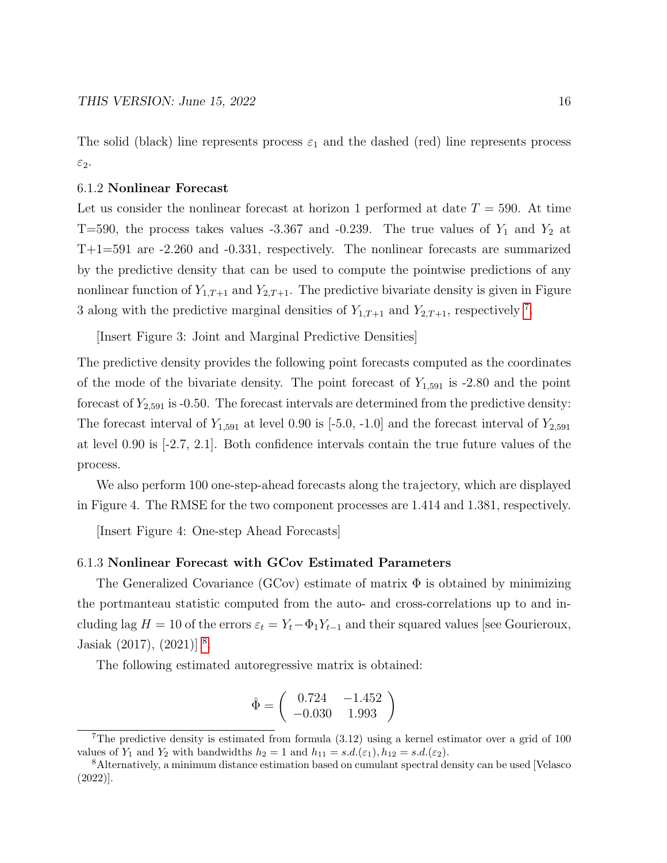The solid (black) line represents process  $\varepsilon_1$  and the dashed (red) line represents process ε2.

#### 6.1.2 Nonlinear Forecast

Let us consider the nonlinear forecast at horizon 1 performed at date  $T = 590$ . At time T=590, the process takes values -3.367 and -0.239. The true values of  $Y_1$  and  $Y_2$  at T+1=591 are -2.260 and -0.331, respectively. The nonlinear forecasts are summarized by the predictive density that can be used to compute the pointwise predictions of any nonlinear function of  $Y_{1,T+1}$  and  $Y_{2,T+1}$ . The predictive bivariate density is given in Figure 3 along with the predictive marginal densities of  $Y_{1,T+1}$  and  $Y_{2,T+1}$ , respectively <sup>[7](#page-15-0)</sup>.

[Insert Figure 3: Joint and Marginal Predictive Densities]

The predictive density provides the following point forecasts computed as the coordinates of the mode of the bivariate density. The point forecast of  $Y_{1.591}$  is -2.80 and the point forecast of  $Y_{2,591}$  is -0.50. The forecast intervals are determined from the predictive density: The forecast interval of  $Y_{1,591}$  at level 0.90 is  $[-5.0, -1.0]$  and the forecast interval of  $Y_{2,591}$ at level 0.90 is [-2.7, 2.1]. Both confidence intervals contain the true future values of the process.

We also perform 100 one-step-ahead forecasts along the trajectory, which are displayed in Figure 4. The RMSE for the two component processes are 1.414 and 1.381, respectively.

[Insert Figure 4: One-step Ahead Forecasts]

#### 6.1.3 Nonlinear Forecast with GCov Estimated Parameters

The Generalized Covariance (GCov) estimate of matrix  $\Phi$  is obtained by minimizing the portmanteau statistic computed from the auto- and cross-correlations up to and including lag  $H = 10$  of the errors  $\varepsilon_t = Y_t - \Phi_1 Y_{t-1}$  and their squared values [see Gourieroux, Jasiak  $(2017)$ ,  $(2021)$ <sup>[8](#page-15-1)</sup>.

The following estimated autoregressive matrix is obtained:

$$
\hat{\Phi} = \left( \begin{array}{cc} 0.724 & -1.452 \\ -0.030 & 1.993 \end{array} \right)
$$

<span id="page-15-0"></span><sup>&</sup>lt;sup>7</sup>The predictive density is estimated from formula  $(3.12)$  using a kernel estimator over a grid of 100 values of  $Y_1$  and  $Y_2$  with bandwidths  $h_2 = 1$  and  $h_{11} = s.d.(\varepsilon_1), h_{12} = s.d.(\varepsilon_2)$ .

<span id="page-15-1"></span><sup>8</sup>Alternatively, a minimum distance estimation based on cumulant spectral density can be used [Velasco (2022)].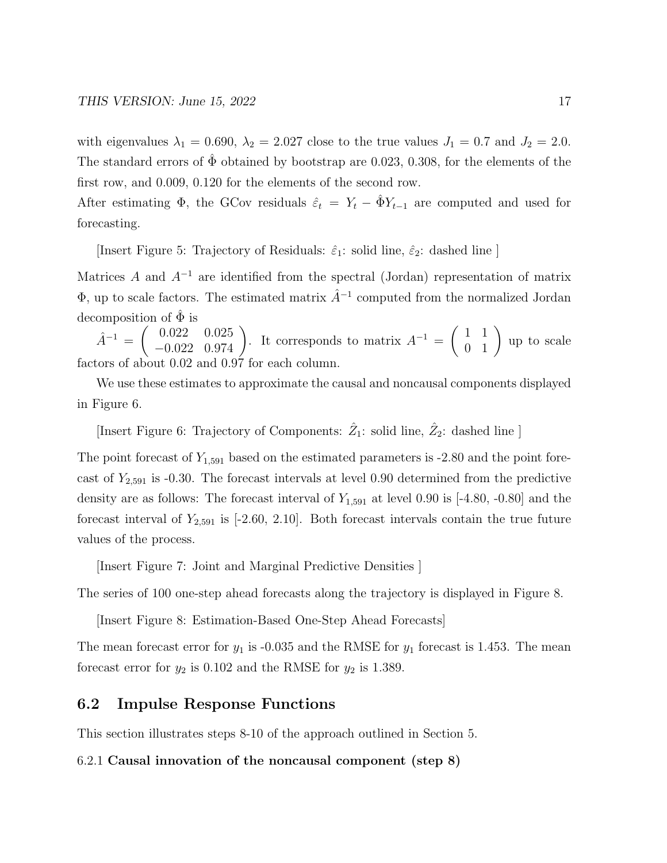with eigenvalues  $\lambda_1 = 0.690$ ,  $\lambda_2 = 2.027$  close to the true values  $J_1 = 0.7$  and  $J_2 = 2.0$ . The standard errors of  $\hat{\Phi}$  obtained by bootstrap are 0.023, 0.308, for the elements of the first row, and 0.009, 0.120 for the elements of the second row.

After estimating  $\Phi$ , the GCov residuals  $\hat{\varepsilon}_t = Y_t - \hat{\Phi} Y_{t-1}$  are computed and used for forecasting.

[Insert Figure 5: Trajectory of Residuals:  $\hat{\varepsilon}_1$ : solid line,  $\hat{\varepsilon}_2$ : dashed line ]

Matrices A and  $A^{-1}$  are identified from the spectral (Jordan) representation of matrix  $\Phi$ , up to scale factors. The estimated matrix  $\hat{A}^{-1}$  computed from the normalized Jordan decomposition of  $\hat{\Phi}$  is

 $\hat{A}^{-1} = \begin{pmatrix} 0.022 & 0.025 \\ -0.022 & 0.974 \end{pmatrix}$ . It corresponds to matrix  $A^{-1} = \begin{pmatrix} 1 & 1 \\ 0 & 1 \end{pmatrix}$  up to scale factors of about 0.02 and 0.97 for each column.

We use these estimates to approximate the causal and noncausal components displayed in Figure 6.

[Insert Figure 6: Trajectory of Components:  $\hat{Z}_1$ : solid line,  $\hat{Z}_2$ : dashed line ]

The point forecast of  $Y_{1,591}$  based on the estimated parameters is -2.80 and the point forecast of  $Y_{2,591}$  is -0.30. The forecast intervals at level 0.90 determined from the predictive density are as follows: The forecast interval of  $Y_{1,591}$  at level 0.90 is [-4.80, -0.80] and the forecast interval of  $Y_{2,591}$  is [-2.60, 2.10]. Both forecast intervals contain the true future values of the process.

[Insert Figure 7: Joint and Marginal Predictive Densities ]

The series of 100 one-step ahead forecasts along the trajectory is displayed in Figure 8.

[Insert Figure 8: Estimation-Based One-Step Ahead Forecasts]

The mean forecast error for  $y_1$  is -0.035 and the RMSE for  $y_1$  forecast is 1.453. The mean forecast error for  $y_2$  is 0.102 and the RMSE for  $y_2$  is 1.389.

## 6.2 Impulse Response Functions

This section illustrates steps 8-10 of the approach outlined in Section 5.

#### 6.2.1 Causal innovation of the noncausal component (step 8)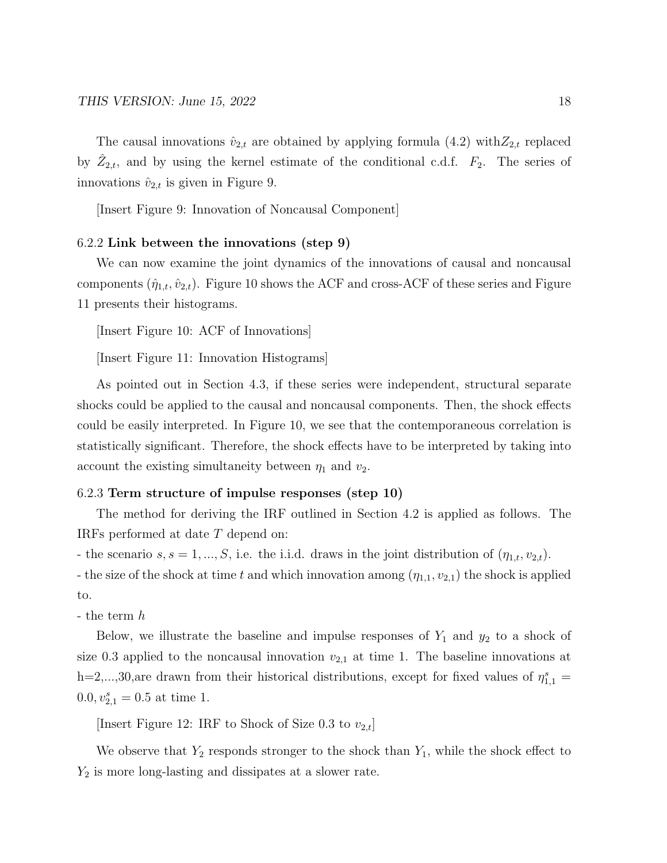The causal innovations  $\hat{v}_{2,t}$  are obtained by applying formula (4.2) with  $Z_{2,t}$  replaced by  $\hat{Z}_{2,t}$ , and by using the kernel estimate of the conditional c.d.f.  $F_2$ . The series of innovations  $\hat{v}_{2,t}$  is given in Figure 9.

[Insert Figure 9: Innovation of Noncausal Component]

#### 6.2.2 Link between the innovations (step 9)

We can now examine the joint dynamics of the innovations of causal and noncausal components  $(\hat{\eta}_{1,t}, \hat{v}_{2,t})$ . Figure 10 shows the ACF and cross-ACF of these series and Figure 11 presents their histograms.

[Insert Figure 10: ACF of Innovations]

[Insert Figure 11: Innovation Histograms]

As pointed out in Section 4.3, if these series were independent, structural separate shocks could be applied to the causal and noncausal components. Then, the shock effects could be easily interpreted. In Figure 10, we see that the contemporaneous correlation is statistically significant. Therefore, the shock effects have to be interpreted by taking into account the existing simultaneity between  $\eta_1$  and  $v_2$ .

#### 6.2.3 Term structure of impulse responses (step 10)

The method for deriving the IRF outlined in Section 4.2 is applied as follows. The IRFs performed at date T depend on:

- the scenario  $s, s = 1, ..., S$ , i.e. the i.i.d. draws in the joint distribution of  $(\eta_{1,t}, v_{2,t})$ .

- the size of the shock at time t and which innovation among  $(\eta_{1,1}, \nu_{2,1})$  the shock is applied to.

- the term h

Below, we illustrate the baseline and impulse responses of  $Y_1$  and  $y_2$  to a shock of size 0.3 applied to the noncausal innovation  $v_{2,1}$  at time 1. The baseline innovations at h=2,...,30,are drawn from their historical distributions, except for fixed values of  $\eta_{1,1}^s$  =  $0.0, v_{2,1}^s = 0.5$  at time 1.

[Insert Figure 12: IRF to Shock of Size 0.3 to  $v_{2,t}$ ]

We observe that  $Y_2$  responds stronger to the shock than  $Y_1$ , while the shock effect to  $Y_2$  is more long-lasting and dissipates at a slower rate.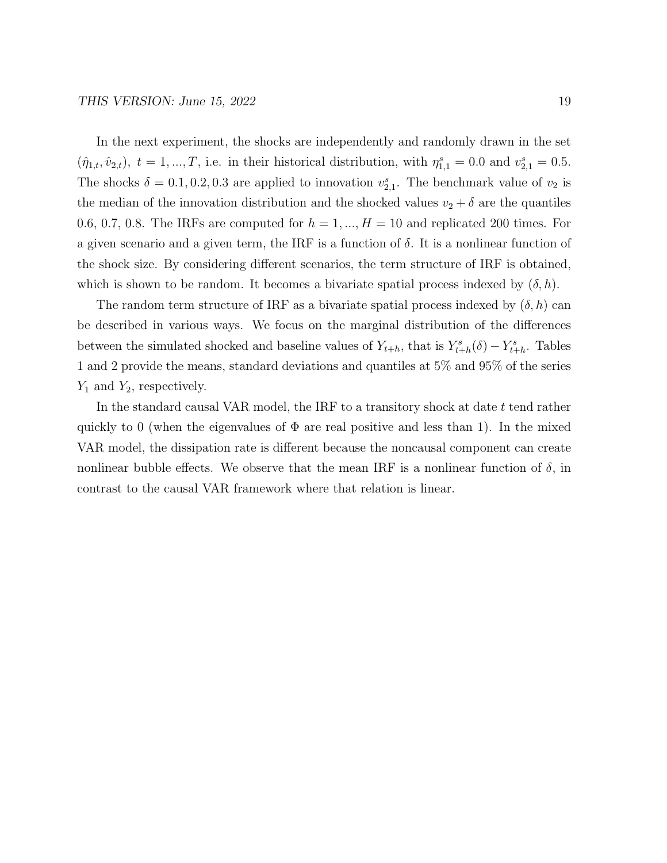In the next experiment, the shocks are independently and randomly drawn in the set  $(\hat{\eta}_{1,t}, \hat{v}_{2,t}), t = 1, ..., T$ , i.e. in their historical distribution, with  $\eta_{1,1}^s = 0.0$  and  $v_{2,1}^s = 0.5$ . The shocks  $\delta = 0.1, 0.2, 0.3$  are applied to innovation  $v_{2,1}^s$ . The benchmark value of  $v_2$  is the median of the innovation distribution and the shocked values  $v_2 + \delta$  are the quantiles 0.6, 0.7, 0.8. The IRFs are computed for  $h = 1, ..., H = 10$  and replicated 200 times. For a given scenario and a given term, the IRF is a function of  $\delta$ . It is a nonlinear function of the shock size. By considering different scenarios, the term structure of IRF is obtained, which is shown to be random. It becomes a bivariate spatial process indexed by  $(\delta, h)$ .

The random term structure of IRF as a bivariate spatial process indexed by  $(\delta, h)$  can be described in various ways. We focus on the marginal distribution of the differences between the simulated shocked and baseline values of  $Y_{t+h}$ , that is  $Y_{t+h}^s(\delta) - Y_{t+h}^s$ . Tables 1 and 2 provide the means, standard deviations and quantiles at 5% and 95% of the series  $Y_1$  and  $Y_2$ , respectively.

In the standard causal VAR model, the IRF to a transitory shock at date t tend rather quickly to 0 (when the eigenvalues of  $\Phi$  are real positive and less than 1). In the mixed VAR model, the dissipation rate is different because the noncausal component can create nonlinear bubble effects. We observe that the mean IRF is a nonlinear function of  $\delta$ , in contrast to the causal VAR framework where that relation is linear.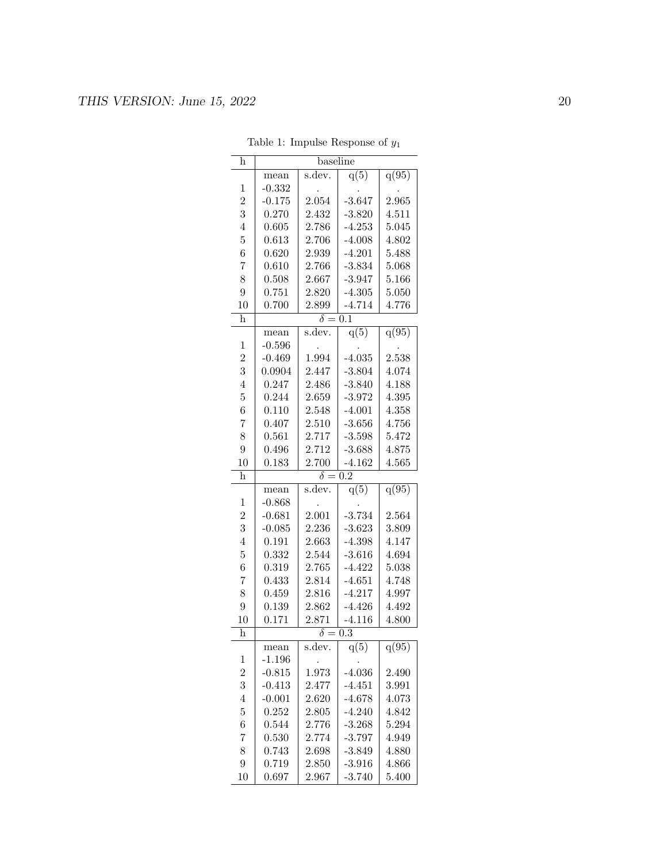| h                       | baseline                       |                         |                      |                |  |  |
|-------------------------|--------------------------------|-------------------------|----------------------|----------------|--|--|
|                         | mean                           | s.dev.                  | q(5)                 | q(95)          |  |  |
| $\mathbf 1$             | $-0.332$                       |                         |                      |                |  |  |
| $\overline{2}$          | $-0.175$                       | 2.054                   | $-3.647$             | 2.965          |  |  |
| 3                       | 0.270                          | 2.432                   | $-3.820$             | 4.511          |  |  |
| $\overline{4}$          | 0.605                          | 2.786                   | $-4.253$             | 5.045          |  |  |
| $\overline{5}$          | 0.613                          | 2.706                   | $-4.008$             | 4.802          |  |  |
| 6                       | 0.620                          | 2.939                   | $-4.201$             | 5.488          |  |  |
| $\overline{7}$          | 0.610                          | 2.766                   | $-3.834$             | 5.068          |  |  |
| 8                       | 0.508                          | 2.667                   | $-3.947$             | 5.166          |  |  |
| $\overline{9}$          | 0.751                          | 2.820                   | $-4.305$             | 5.050          |  |  |
| 10                      | 0.700                          | 2.899                   | $-4.714$             | 4.776          |  |  |
| $\overline{\mathbf{h}}$ |                                | $\overline{\delta=0.1}$ |                      |                |  |  |
|                         | mean                           | s.dev.                  | q(5)                 | q(95)          |  |  |
| $\mathbf 1$             | $-0.596$                       |                         |                      |                |  |  |
| $\overline{2}$          | $-0.469$                       | 1.994                   | $-4.035$             | 2.538          |  |  |
| 3                       | 0.0904                         | 2.447                   | $-3.804$             | 4.074          |  |  |
| $\overline{4}$          | 0.247                          | 2.486                   | $-3.840$             | 4.188          |  |  |
| $\overline{5}$          | 0.244                          | 2.659                   | $-3.972$             | 4.395          |  |  |
| 6                       | 0.110                          | 2.548                   | $-4.001$             | 4.358          |  |  |
| $\overline{7}$          | 0.407                          | 2.510                   | $-3.656$             | 4.756          |  |  |
| 8                       | 0.561                          | 2.717                   | $-3.598$             | 5.472          |  |  |
| 9                       | 0.496                          | 2.712                   | $-3.688$             | 4.875          |  |  |
| 10                      | 0.183                          | 2.700                   | $-4.162$             | 4.565          |  |  |
| h                       |                                | $\delta = 0.2$          |                      |                |  |  |
|                         | mean                           | s.dev.                  | q(5)                 | q(95)          |  |  |
| $\mathbf 1$             | $-0.868$                       |                         |                      |                |  |  |
| $\overline{2}$          | $-0.681$                       | 2.001                   | $-3.734$             | 2.564          |  |  |
| 3                       | $-0.085$                       | 2.236                   | $-3.623$             | 3.809          |  |  |
| $\overline{4}$          | 0.191                          | 2.663                   | $-4.398$             | 4.147          |  |  |
| $\overline{5}$          | 0.332                          | 2.544                   | $-3.616$             | 4.694          |  |  |
| 6                       | 0.319                          | 2.765                   | $-4.422$             | 5.038          |  |  |
| $\overline{7}$          | 0.433                          | 2.814                   | $-4.651$             | 4.748          |  |  |
| 8                       | 0.459                          | 2.816                   | $-4.217$             | 4.997          |  |  |
| 9                       | 0.139                          | 2.862                   | $-4.426$             | 4.492          |  |  |
| 10                      | 0.171                          | 2.871                   | $-4.116$             | 4.800          |  |  |
| h                       | $\overline{0.3}$<br>$\delta =$ |                         |                      |                |  |  |
|                         |                                |                         |                      |                |  |  |
|                         | mean                           | s.dev.                  | q(5)                 | q(95)          |  |  |
| 1                       | $-1.196$                       |                         |                      |                |  |  |
| $\overline{2}$          | $-0.815$                       | 1.973                   | $-4.036$             | 2.490          |  |  |
| 3                       | $-0.413$                       | 2.477                   | $-4.451$             | 3.991          |  |  |
| $\overline{4}$          | $-0.001$                       | 2.620                   | $-4.678$             | 4.073          |  |  |
| $\overline{5}$          | 0.252                          | 2.805                   | $-4.240$             | 4.842          |  |  |
| 6                       | 0.544                          | 2.776                   | $-3.268$             | 5.294          |  |  |
| 7                       | 0.530                          | 2.774                   | $-3.797$             | 4.949          |  |  |
| 8                       | 0.743                          | 2.698                   | $-3.849$             | 4.880          |  |  |
| $\boldsymbol{9}$<br>10  | 0.719<br>0.697                 | 2.850<br>2.967          | $-3.916$<br>$-3.740$ | 4.866<br>5.400 |  |  |

Table 1: Impulse Response of  $y_1$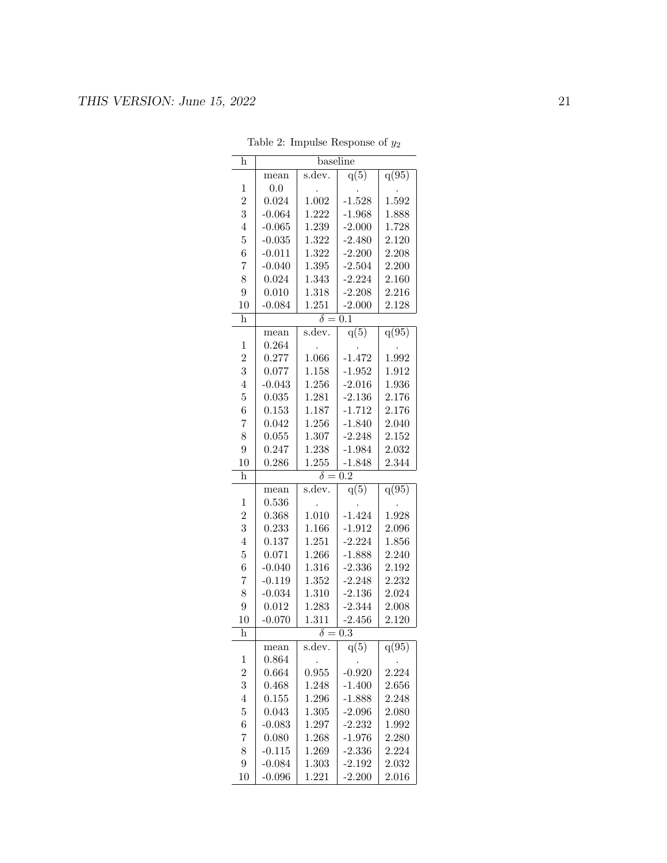| h              | baseline                |                |                      |                |  |  |
|----------------|-------------------------|----------------|----------------------|----------------|--|--|
|                | mean                    | s.dev.         | q(5)                 | q(95)          |  |  |
| $\mathbf{1}$   | 0.0                     |                |                      |                |  |  |
| $\overline{2}$ | 0.024                   | 1.002          | $-1.528$             | 1.592          |  |  |
| 3              | $-0.064$                | 1.222          | $-1.968$             | 1.888          |  |  |
| $\overline{4}$ | $-0.065$                | 1.239          | $-2.000$             | 1.728          |  |  |
| $\overline{5}$ | $-0.035$                | 1.322          | $-2.480$             | 2.120          |  |  |
| 6              | $-0.011$                | 1.322          | $-2.200$             | 2.208          |  |  |
| $\overline{7}$ | $-0.040$                | 1.395          | $-2.504$             | 2.200          |  |  |
| 8              | 0.024                   | 1.343          | $-2.224$             | 2.160          |  |  |
| $\overline{9}$ | 0.010                   | 1.318          | $-2.208$             | 2.216          |  |  |
| 10             | $-0.084$                | 1.251          | $-2.000$             | 2.128          |  |  |
| $\bold{h}$     | $\overline{\delta=0.1}$ |                |                      |                |  |  |
|                | mean                    | s.dev.         | q(5)                 | q(95)          |  |  |
| $\mathbf{1}$   | 0.264                   |                |                      |                |  |  |
| $\overline{2}$ | 0.277                   | 1.066          | $-1.472$             | 1.992          |  |  |
| 3              | 0.077                   | 1.158          | $-1.952$             | 1.912          |  |  |
| $\overline{4}$ | $-0.043$                | 1.256          | $-2.016$             | 1.936          |  |  |
| $\overline{5}$ | 0.035                   | 1.281          | $-2.136$             | 2.176          |  |  |
| 6              | 0.153                   | 1.187          | $-1.712$             | 2.176          |  |  |
| $\overline{7}$ | 0.042                   | 1.256          | $-1.840$             | 2.040          |  |  |
| 8              | 0.055                   | 1.307          | $-2.248$             | 2.152          |  |  |
| 9              | 0.247                   | 1.238          | $-1.984$             | 2.032          |  |  |
| 10             | 0.286                   | 1.255          | $-1.848$             | 2.344          |  |  |
| h              |                         | $\delta =$     | $\overline{0.2}$     |                |  |  |
|                |                         |                |                      |                |  |  |
|                | mean                    | s.dev.         | q(5)                 | q(95)          |  |  |
| $\mathbf{1}$   | 0.536                   |                |                      |                |  |  |
| $\overline{2}$ | 0.368                   | 1.010          | $-1.424$             | 1.928          |  |  |
| 3              | 0.233                   | 1.166          | $-1.912$             | 2.096          |  |  |
| $\overline{4}$ | 0.137                   | 1.251          | $-2.224$             | 1.856          |  |  |
| $\overline{5}$ | 0.071                   | 1.266          | $-1.888$             | 2.240          |  |  |
| 6              | $-0.040$                | 1.316          | $-2.336$             | 2.192          |  |  |
| $\overline{7}$ | $-0.119$                | 1.352          | $-2.248$             | 2.232          |  |  |
| 8              | $-0.034$                | 1.310          | $-2.136$             | 2.024          |  |  |
| 9              | 0.012                   | 1.283          | $-2.344$             | 2.008          |  |  |
| 10             | $-0.070$                | 1.311          | $-2.456$             | 2.120          |  |  |
| h              |                         | $\delta =$     | $\overline{0.3}$     |                |  |  |
|                | шеап                    | s.dev.         | q(5)                 | q(95)          |  |  |
| 1              | 0.864                   |                |                      |                |  |  |
| $\overline{2}$ | 0.664                   | 0.955          | $-0.920$             | 2.224          |  |  |
| 3              | 0.468                   | 1.248          | $-1.400$             | 2.656          |  |  |
| $\overline{4}$ | 0.155                   | 1.296          | $-1.888$             | 2.248          |  |  |
| $\overline{5}$ | 0.043                   | 1.305          | $-2.096$             | 2.080          |  |  |
| 6              | $-0.083$                | 1.297          | $-2.232$             | 1.992          |  |  |
| $\overline{7}$ | 0.080                   | 1.268          | $-1.976$             | 2.280          |  |  |
| 8              | $-0.115$                | 1.269          | $-2.336$             | 2.224          |  |  |
| 9<br>10        | $-0.084$<br>$-0.096$    | 1.303<br>1.221 | $-2.192$<br>$-2.200$ | 2.032<br>2.016 |  |  |

Table 2: Impulse Response of  $y_2$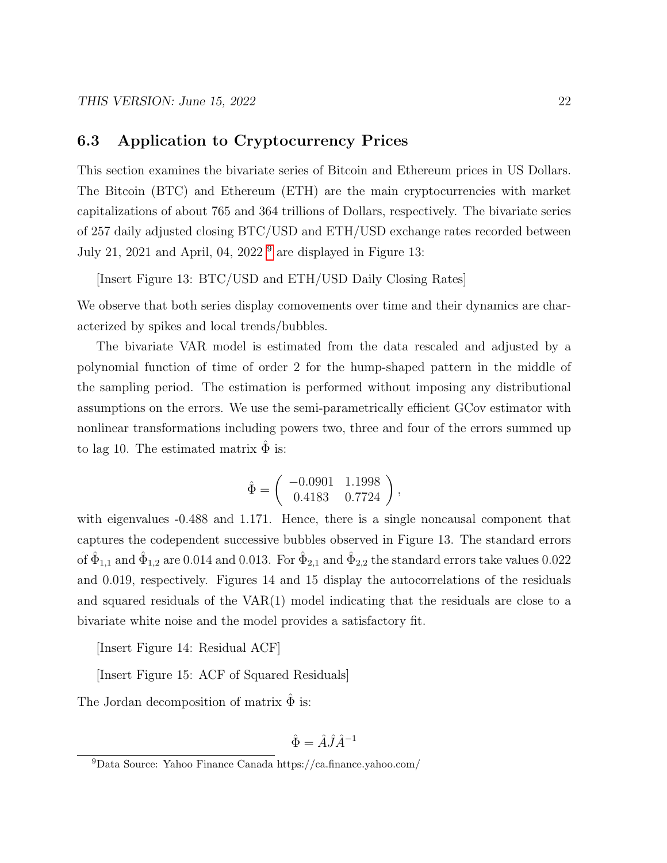## 6.3 Application to Cryptocurrency Prices

This section examines the bivariate series of Bitcoin and Ethereum prices in US Dollars. The Bitcoin (BTC) and Ethereum (ETH) are the main cryptocurrencies with market capitalizations of about 765 and 364 trillions of Dollars, respectively. The bivariate series of 257 daily adjusted closing BTC/USD and ETH/USD exchange rates recorded between July 21, 2021 and April, 04, 2022<sup>[9](#page-21-0)</sup> are displayed in Figure 13:

[Insert Figure 13: BTC/USD and ETH/USD Daily Closing Rates]

We observe that both series display comovements over time and their dynamics are characterized by spikes and local trends/bubbles.

The bivariate VAR model is estimated from the data rescaled and adjusted by a polynomial function of time of order 2 for the hump-shaped pattern in the middle of the sampling period. The estimation is performed without imposing any distributional assumptions on the errors. We use the semi-parametrically efficient GCov estimator with nonlinear transformations including powers two, three and four of the errors summed up to lag 10. The estimated matrix  $\hat{\Phi}$  is:

$$
\hat{\Phi} = \left( \begin{array}{cc} -0.0901 & 1.1998 \\ 0.4183 & 0.7724 \end{array} \right),
$$

with eigenvalues -0.488 and 1.171. Hence, there is a single noncausal component that captures the codependent successive bubbles observed in Figure 13. The standard errors of  $\hat{\Phi}_{1,1}$  and  $\hat{\Phi}_{1,2}$  are 0.014 and 0.013. For  $\hat{\Phi}_{2,1}$  and  $\hat{\Phi}_{2,2}$  the standard errors take values 0.022 and 0.019, respectively. Figures 14 and 15 display the autocorrelations of the residuals and squared residuals of the VAR(1) model indicating that the residuals are close to a bivariate white noise and the model provides a satisfactory fit.

[Insert Figure 14: Residual ACF]

[Insert Figure 15: ACF of Squared Residuals]

The Jordan decomposition of matrix  $\hat{\Phi}$  is:

$$
\hat{\Phi} = \hat{A}\hat{J}\hat{A}^{-1}
$$

<span id="page-21-0"></span><sup>9</sup>Data Source: Yahoo Finance Canada https://ca.finance.yahoo.com/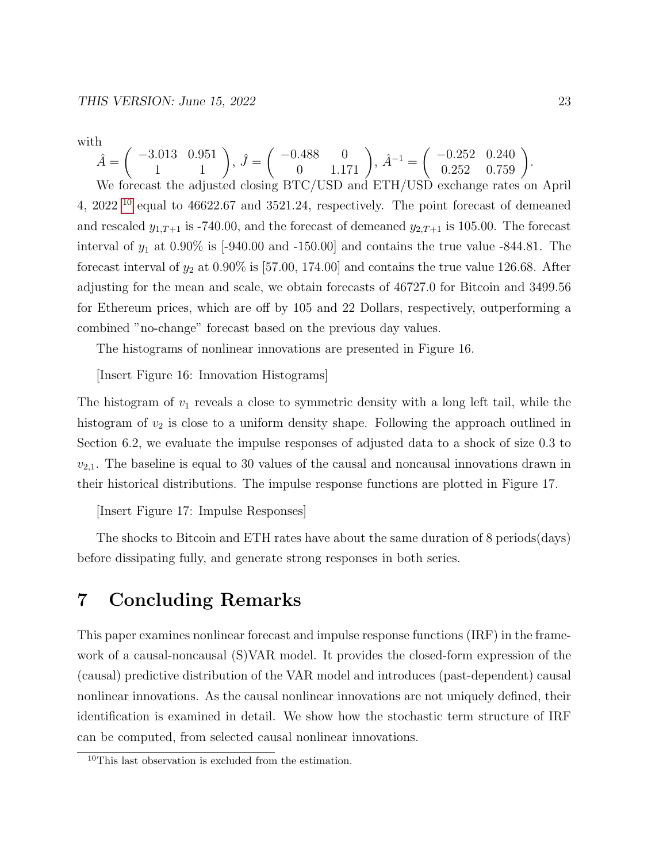with

 $\hat{A} = \begin{pmatrix} -3.013 & 0.951 \ 1 & 1 \end{pmatrix}, \ \hat{J} = \begin{pmatrix} -0.488 & 0 \ 0 & 1.171 \end{pmatrix}, \ \hat{A}^{-1} = \begin{pmatrix} -0.252 & 0.240 \ 0.252 & 0.759 \end{pmatrix}.$ We forecast the adjusted closing BTC/USD and ETH/USD exchange rates on April 4, 2022 [10](#page-22-0) equal to 46622.67 and 3521.24, respectively. The point forecast of demeaned and rescaled  $y_{1,T+1}$  is -740.00, and the forecast of demeaned  $y_{2,T+1}$  is 105.00. The forecast interval of  $y_1$  at 0.90% is  $[-940.00 \text{ and } -150.00]$  and contains the true value  $-844.81$ . The forecast interval of  $y_2$  at 0.90% is [57.00, 174.00] and contains the true value 126.68. After adjusting for the mean and scale, we obtain forecasts of 46727.0 for Bitcoin and 3499.56 for Ethereum prices, which are off by 105 and 22 Dollars, respectively, outperforming a combined "no-change" forecast based on the previous day values.

The histograms of nonlinear innovations are presented in Figure 16.

[Insert Figure 16: Innovation Histograms]

The histogram of  $v_1$  reveals a close to symmetric density with a long left tail, while the histogram of  $v_2$  is close to a uniform density shape. Following the approach outlined in Section 6.2, we evaluate the impulse responses of adjusted data to a shock of size 0.3 to  $v_{2,1}$ . The baseline is equal to 30 values of the causal and noncausal innovations drawn in their historical distributions. The impulse response functions are plotted in Figure 17.

[Insert Figure 17: Impulse Responses]

The shocks to Bitcoin and ETH rates have about the same duration of 8 periods(days) before dissipating fully, and generate strong responses in both series.

## 7 Concluding Remarks

This paper examines nonlinear forecast and impulse response functions (IRF) in the framework of a causal-noncausal (S)VAR model. It provides the closed-form expression of the (causal) predictive distribution of the VAR model and introduces (past-dependent) causal nonlinear innovations. As the causal nonlinear innovations are not uniquely defined, their identification is examined in detail. We show how the stochastic term structure of IRF can be computed, from selected causal nonlinear innovations.

<span id="page-22-0"></span><sup>10</sup>This last observation is excluded from the estimation.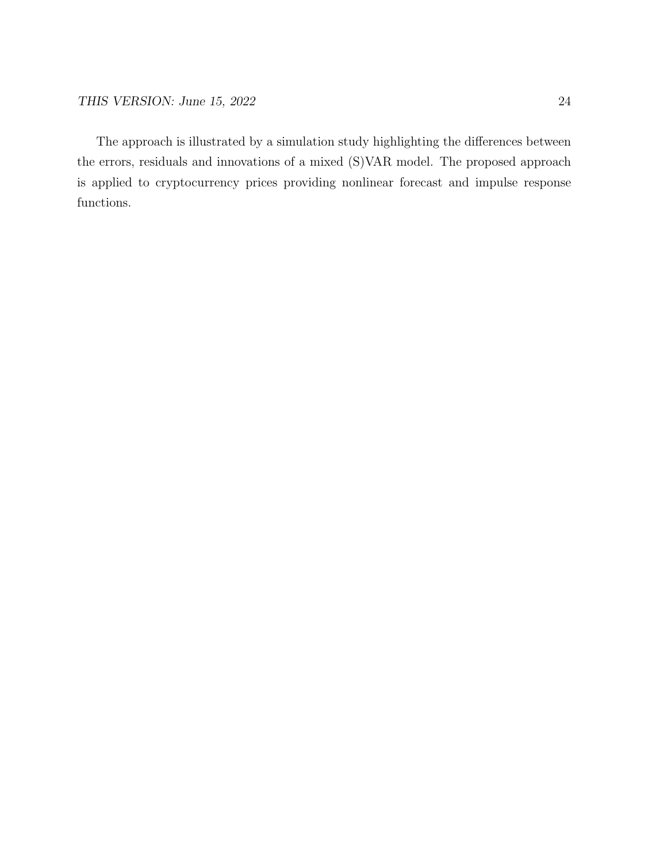The approach is illustrated by a simulation study highlighting the differences between the errors, residuals and innovations of a mixed (S)VAR model. The proposed approach is applied to cryptocurrency prices providing nonlinear forecast and impulse response functions.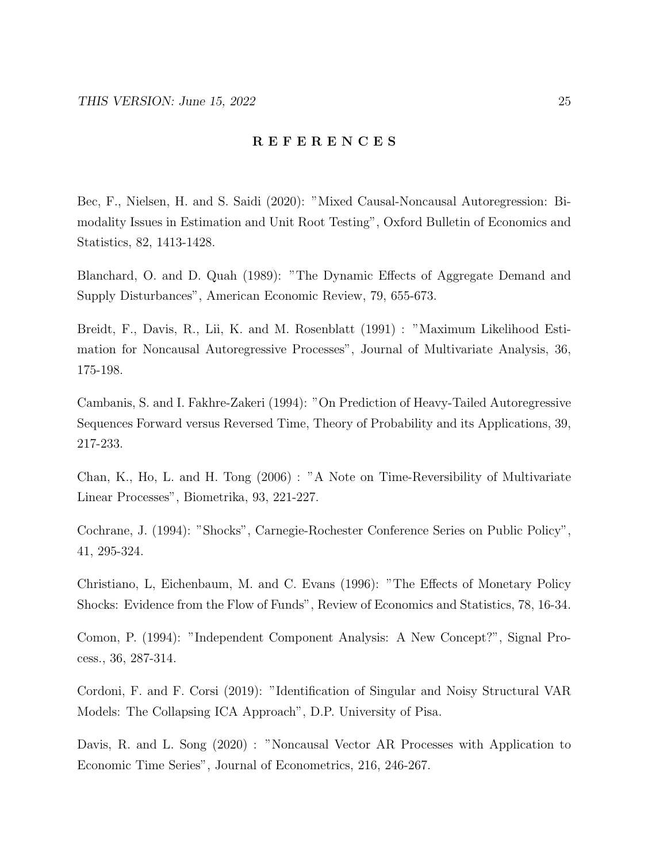#### R E F E R E N C E S

Bec, F., Nielsen, H. and S. Saidi (2020): "Mixed Causal-Noncausal Autoregression: Bimodality Issues in Estimation and Unit Root Testing", Oxford Bulletin of Economics and Statistics, 82, 1413-1428.

Blanchard, O. and D. Quah (1989): "The Dynamic Effects of Aggregate Demand and Supply Disturbances", American Economic Review, 79, 655-673.

Breidt, F., Davis, R., Lii, K. and M. Rosenblatt (1991) : "Maximum Likelihood Estimation for Noncausal Autoregressive Processes", Journal of Multivariate Analysis, 36, 175-198.

Cambanis, S. and I. Fakhre-Zakeri (1994): "On Prediction of Heavy-Tailed Autoregressive Sequences Forward versus Reversed Time, Theory of Probability and its Applications, 39, 217-233.

Chan, K., Ho, L. and H. Tong (2006) : "A Note on Time-Reversibility of Multivariate Linear Processes", Biometrika, 93, 221-227.

Cochrane, J. (1994): "Shocks", Carnegie-Rochester Conference Series on Public Policy", 41, 295-324.

Christiano, L, Eichenbaum, M. and C. Evans (1996): "The Effects of Monetary Policy Shocks: Evidence from the Flow of Funds", Review of Economics and Statistics, 78, 16-34.

Comon, P. (1994): "Independent Component Analysis: A New Concept?", Signal Process., 36, 287-314.

Cordoni, F. and F. Corsi (2019): "Identification of Singular and Noisy Structural VAR Models: The Collapsing ICA Approach", D.P. University of Pisa.

Davis, R. and L. Song (2020) : "Noncausal Vector AR Processes with Application to Economic Time Series", Journal of Econometrics, 216, 246-267.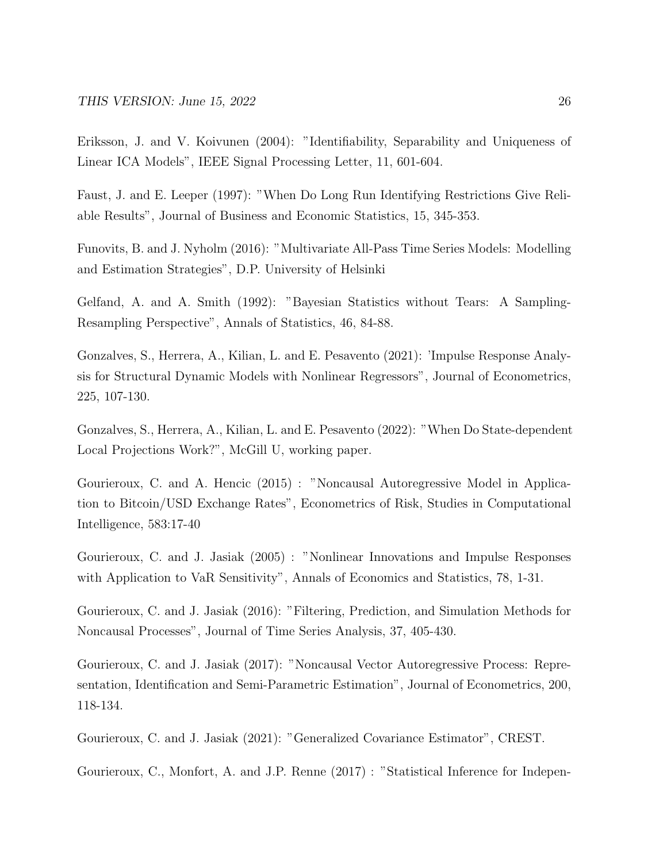Eriksson, J. and V. Koivunen (2004): "Identifiability, Separability and Uniqueness of Linear ICA Models", IEEE Signal Processing Letter, 11, 601-604.

Faust, J. and E. Leeper (1997): "When Do Long Run Identifying Restrictions Give Reliable Results", Journal of Business and Economic Statistics, 15, 345-353.

Funovits, B. and J. Nyholm (2016): "Multivariate All-Pass Time Series Models: Modelling and Estimation Strategies", D.P. University of Helsinki

Gelfand, A. and A. Smith (1992): "Bayesian Statistics without Tears: A Sampling-Resampling Perspective", Annals of Statistics, 46, 84-88.

Gonzalves, S., Herrera, A., Kilian, L. and E. Pesavento (2021): 'Impulse Response Analysis for Structural Dynamic Models with Nonlinear Regressors", Journal of Econometrics, 225, 107-130.

Gonzalves, S., Herrera, A., Kilian, L. and E. Pesavento (2022): "When Do State-dependent Local Projections Work?", McGill U, working paper.

Gourieroux, C. and A. Hencic (2015) : "Noncausal Autoregressive Model in Application to Bitcoin/USD Exchange Rates", Econometrics of Risk, Studies in Computational Intelligence, 583:17-40

Gourieroux, C. and J. Jasiak (2005) : "Nonlinear Innovations and Impulse Responses with Application to VaR Sensitivity", Annals of Economics and Statistics, 78, 1-31.

Gourieroux, C. and J. Jasiak (2016): "Filtering, Prediction, and Simulation Methods for Noncausal Processes", Journal of Time Series Analysis, 37, 405-430.

Gourieroux, C. and J. Jasiak (2017): "Noncausal Vector Autoregressive Process: Representation, Identification and Semi-Parametric Estimation", Journal of Econometrics, 200, 118-134.

Gourieroux, C. and J. Jasiak (2021): "Generalized Covariance Estimator", CREST.

Gourieroux, C., Monfort, A. and J.P. Renne (2017) : "Statistical Inference for Indepen-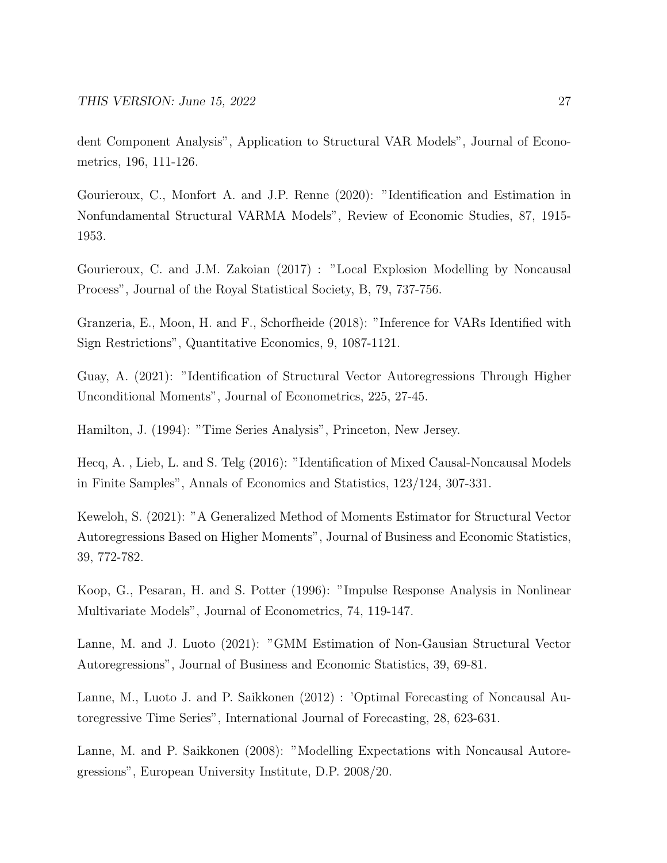dent Component Analysis", Application to Structural VAR Models", Journal of Econometrics, 196, 111-126.

Gourieroux, C., Monfort A. and J.P. Renne (2020): "Identification and Estimation in Nonfundamental Structural VARMA Models", Review of Economic Studies, 87, 1915- 1953.

Gourieroux, C. and J.M. Zakoian (2017) : "Local Explosion Modelling by Noncausal Process", Journal of the Royal Statistical Society, B, 79, 737-756.

Granzeria, E., Moon, H. and F., Schorfheide (2018): "Inference for VARs Identified with Sign Restrictions", Quantitative Economics, 9, 1087-1121.

Guay, A. (2021): "Identification of Structural Vector Autoregressions Through Higher Unconditional Moments", Journal of Econometrics, 225, 27-45.

Hamilton, J. (1994): "Time Series Analysis", Princeton, New Jersey.

Hecq, A. , Lieb, L. and S. Telg (2016): "Identification of Mixed Causal-Noncausal Models in Finite Samples", Annals of Economics and Statistics, 123/124, 307-331.

Keweloh, S. (2021): "A Generalized Method of Moments Estimator for Structural Vector Autoregressions Based on Higher Moments", Journal of Business and Economic Statistics, 39, 772-782.

Koop, G., Pesaran, H. and S. Potter (1996): "Impulse Response Analysis in Nonlinear Multivariate Models", Journal of Econometrics, 74, 119-147.

Lanne, M. and J. Luoto (2021): "GMM Estimation of Non-Gausian Structural Vector Autoregressions", Journal of Business and Economic Statistics, 39, 69-81.

Lanne, M., Luoto J. and P. Saikkonen (2012) : 'Optimal Forecasting of Noncausal Autoregressive Time Series", International Journal of Forecasting, 28, 623-631.

Lanne, M. and P. Saikkonen (2008): "Modelling Expectations with Noncausal Autoregressions", European University Institute, D.P. 2008/20.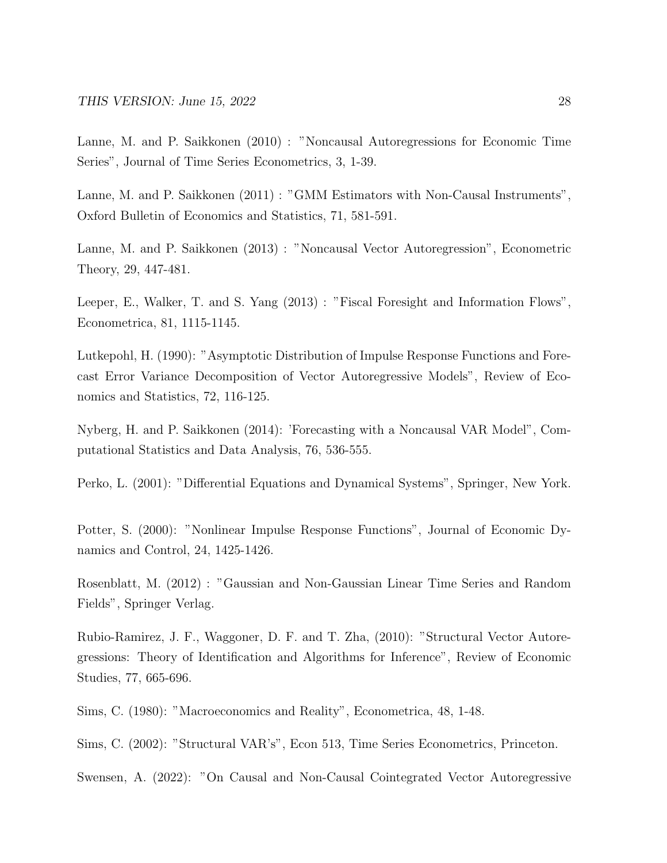Lanne, M. and P. Saikkonen (2010) : "Noncausal Autoregressions for Economic Time Series", Journal of Time Series Econometrics, 3, 1-39.

Lanne, M. and P. Saikkonen (2011) : "GMM Estimators with Non-Causal Instruments", Oxford Bulletin of Economics and Statistics, 71, 581-591.

Lanne, M. and P. Saikkonen (2013) : "Noncausal Vector Autoregression", Econometric Theory, 29, 447-481.

Leeper, E., Walker, T. and S. Yang (2013) : "Fiscal Foresight and Information Flows", Econometrica, 81, 1115-1145.

Lutkepohl, H. (1990): "Asymptotic Distribution of Impulse Response Functions and Forecast Error Variance Decomposition of Vector Autoregressive Models", Review of Economics and Statistics, 72, 116-125.

Nyberg, H. and P. Saikkonen (2014): 'Forecasting with a Noncausal VAR Model", Computational Statistics and Data Analysis, 76, 536-555.

Perko, L. (2001): "Differential Equations and Dynamical Systems", Springer, New York.

Potter, S. (2000): "Nonlinear Impulse Response Functions", Journal of Economic Dynamics and Control, 24, 1425-1426.

Rosenblatt, M. (2012) : "Gaussian and Non-Gaussian Linear Time Series and Random Fields", Springer Verlag.

Rubio-Ramirez, J. F., Waggoner, D. F. and T. Zha, (2010): "Structural Vector Autoregressions: Theory of Identification and Algorithms for Inference", Review of Economic Studies, 77, 665-696.

Sims, C. (1980): "Macroeconomics and Reality", Econometrica, 48, 1-48.

Sims, C. (2002): "Structural VAR's", Econ 513, Time Series Econometrics, Princeton.

Swensen, A. (2022): "On Causal and Non-Causal Cointegrated Vector Autoregressive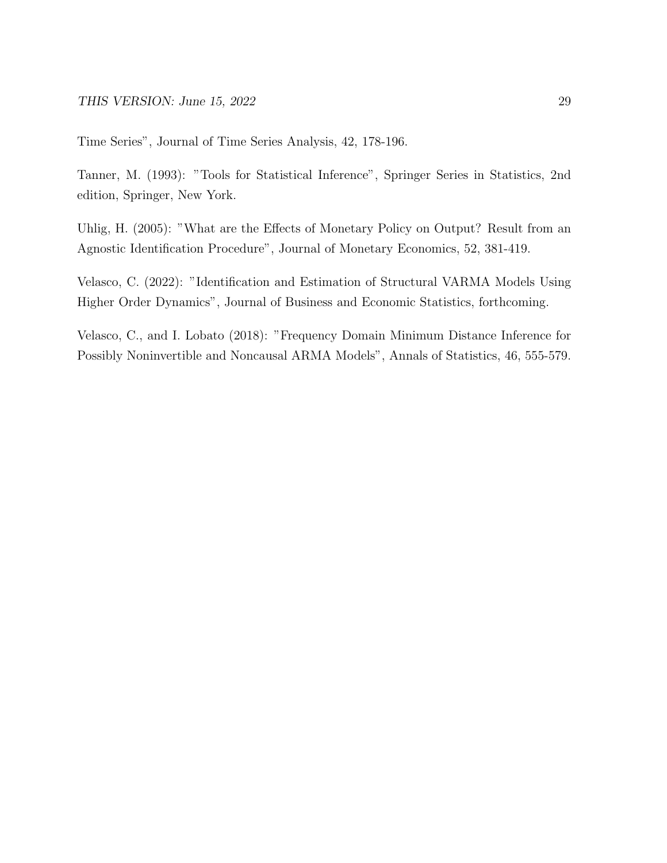Time Series", Journal of Time Series Analysis, 42, 178-196.

Tanner, M. (1993): "Tools for Statistical Inference", Springer Series in Statistics, 2nd edition, Springer, New York.

Uhlig, H. (2005): "What are the Effects of Monetary Policy on Output? Result from an Agnostic Identification Procedure", Journal of Monetary Economics, 52, 381-419.

Velasco, C. (2022): "Identification and Estimation of Structural VARMA Models Using Higher Order Dynamics", Journal of Business and Economic Statistics, forthcoming.

Velasco, C., and I. Lobato (2018): "Frequency Domain Minimum Distance Inference for Possibly Noninvertible and Noncausal ARMA Models", Annals of Statistics, 46, 555-579.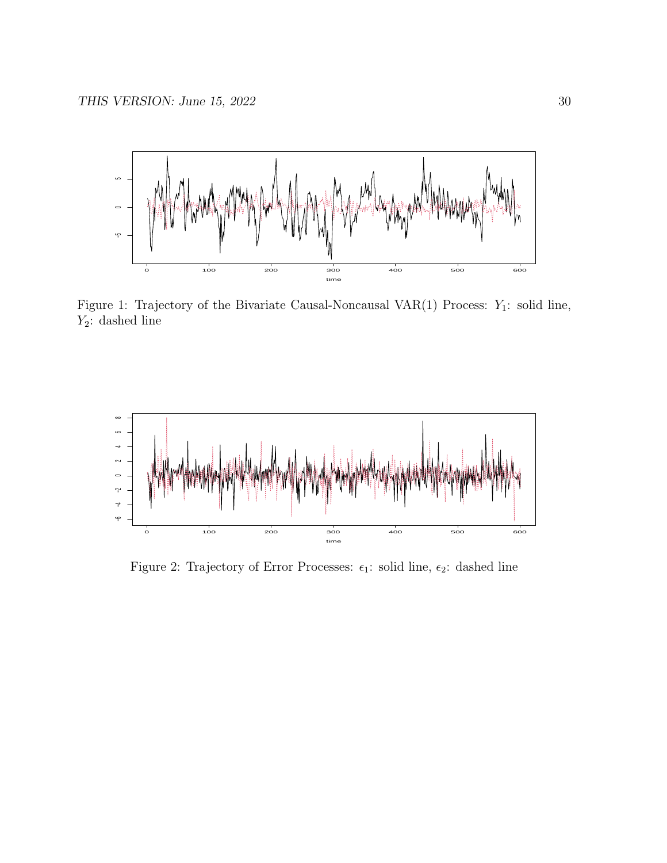

Figure 1: Trajectory of the Bivariate Causal-Noncausal VAR(1) Process:  $Y_1$ : solid line,  $Y_2$ : dashed line



Figure 2: Trajectory of Error Processes:  $\epsilon_1$ : solid line,  $\epsilon_2$ : dashed line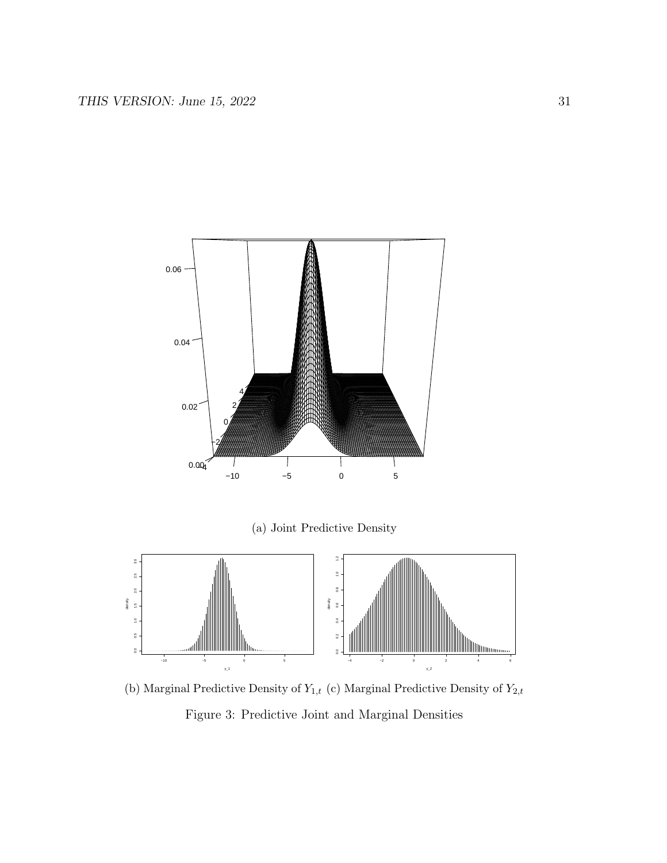

(a) Joint Predictive Density



(b) Marginal Predictive Density of  $Y_{1,t}$  (c) Marginal Predictive Density of  $Y_{2,t}$ Figure 3: Predictive Joint and Marginal Densities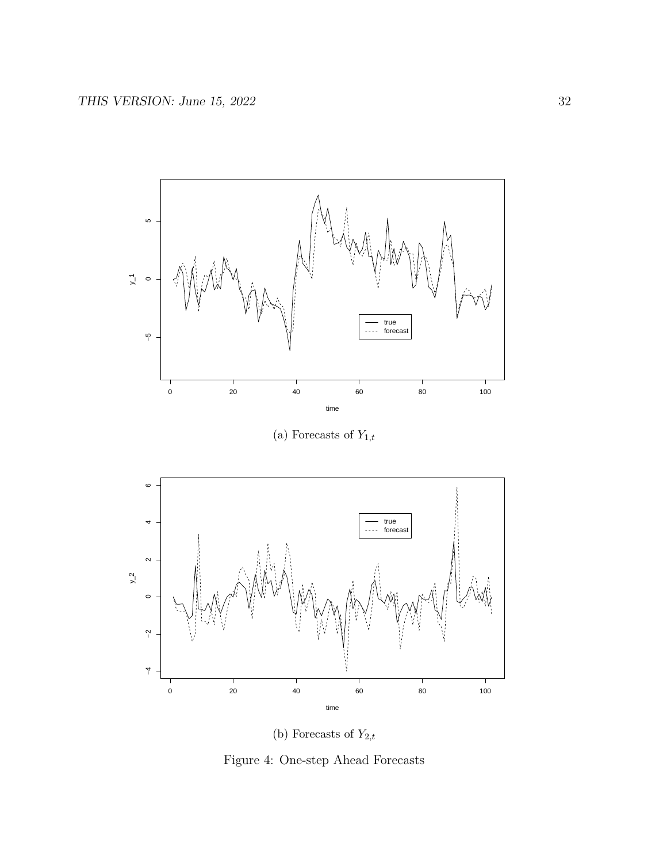

(a) Forecasts of  $Y_{1,t}$ 



(b) Forecasts of  $Y_{2,t}$ 

Figure 4: One-step Ahead Forecasts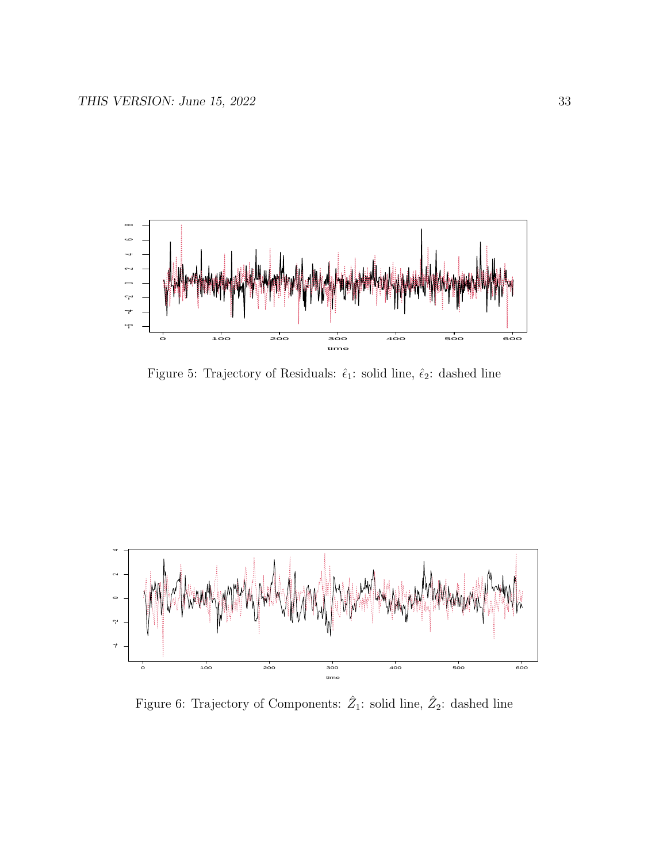

Figure 5: Trajectory of Residuals:  $\hat{\epsilon}_1$ : solid line,  $\hat{\epsilon}_2$ : dashed line



Figure 6: Trajectory of Components:  $\hat{Z}_1$ : solid line,  $\hat{Z}_2$ : dashed line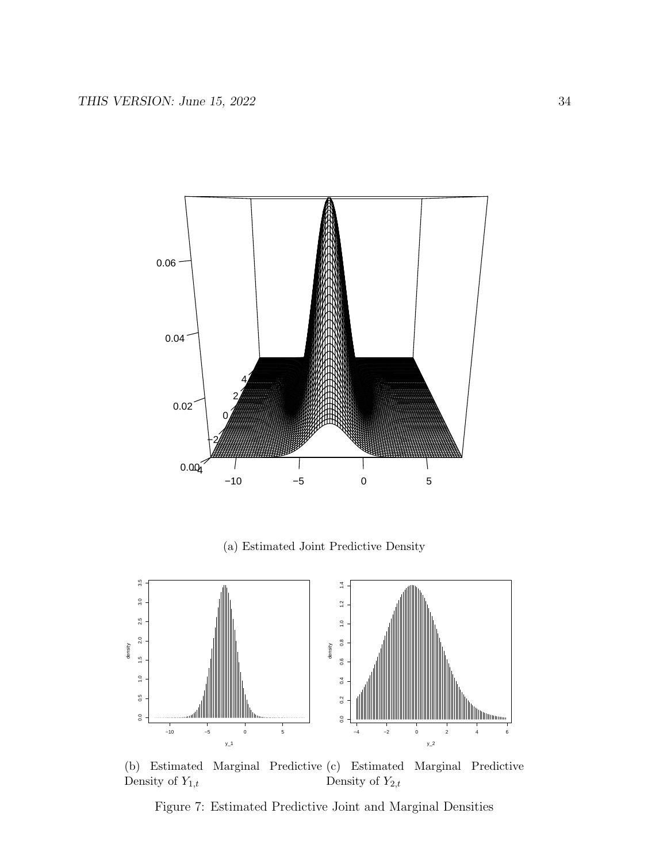

(a) Estimated Joint Predictive Density



(b) Estimated Marginal Predictive (c) Estimated Marginal Predictive Density of  $Y_{1,t}$ Density of  $Y_{2,t}$ 

Figure 7: Estimated Predictive Joint and Marginal Densities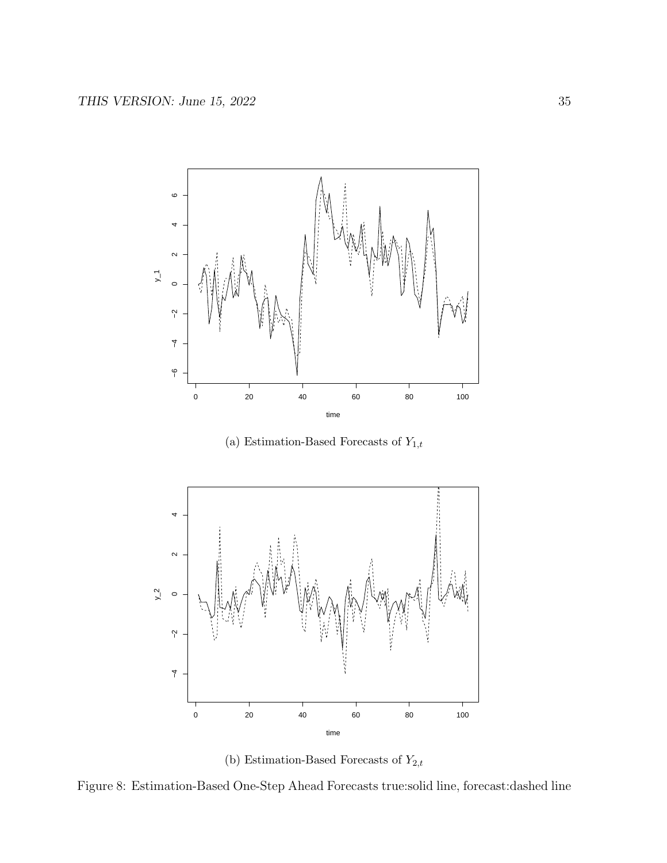

(a) Estimation-Based Forecasts of  $Y_{1,t}$ 





Figure 8: Estimation-Based One-Step Ahead Forecasts true:solid line, forecast:dashed line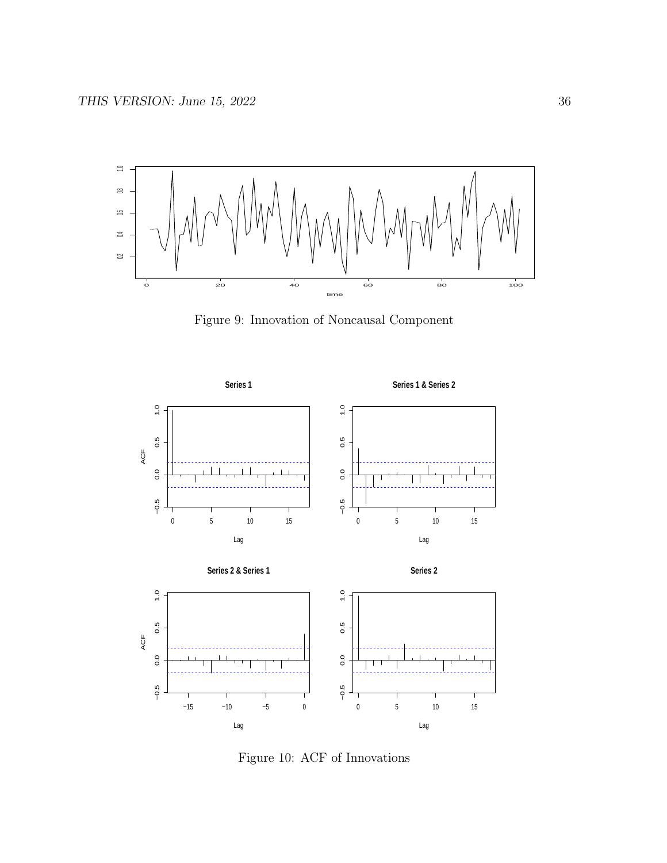

Figure 9: Innovation of Noncausal Component



Figure 10: ACF of Innovations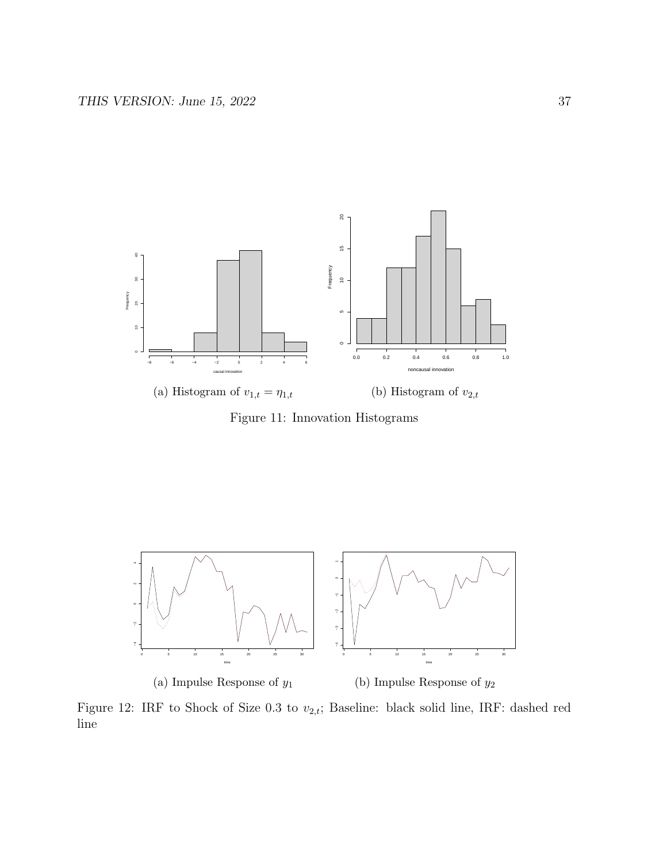

Figure 11: Innovation Histograms



Figure 12: IRF to Shock of Size 0.3 to  $v_{2,t}$ ; Baseline: black solid line, IRF: dashed red line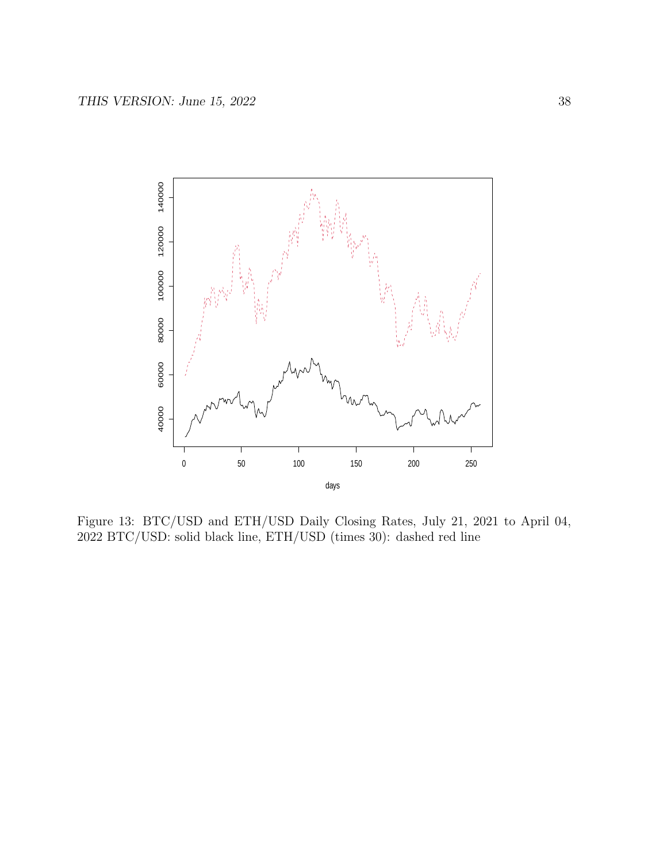

Figure 13: BTC/USD and ETH/USD Daily Closing Rates, July 21, 2021 to April 04, 2022 BTC/USD: solid black line, ETH/USD (times 30): dashed red line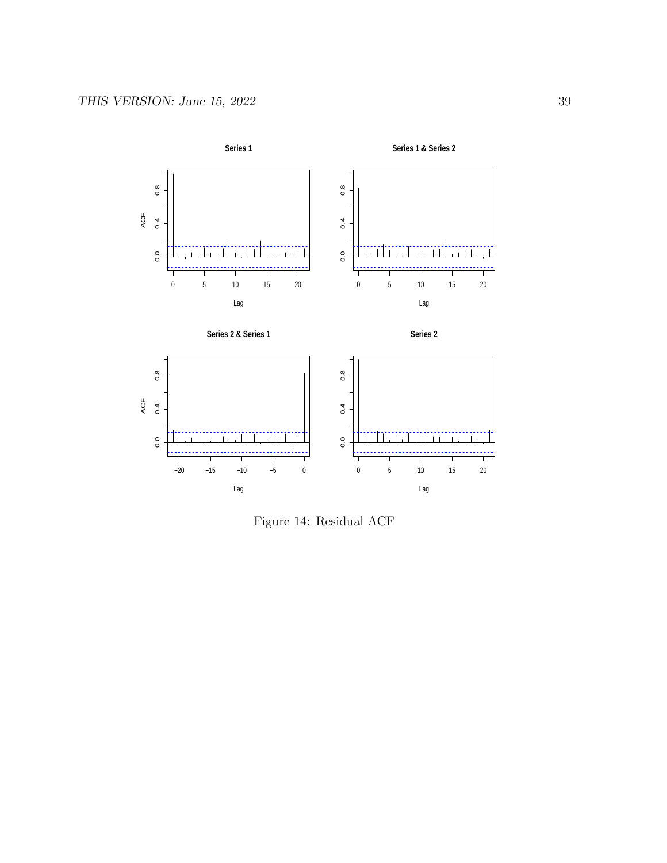

Figure 14: Residual ACF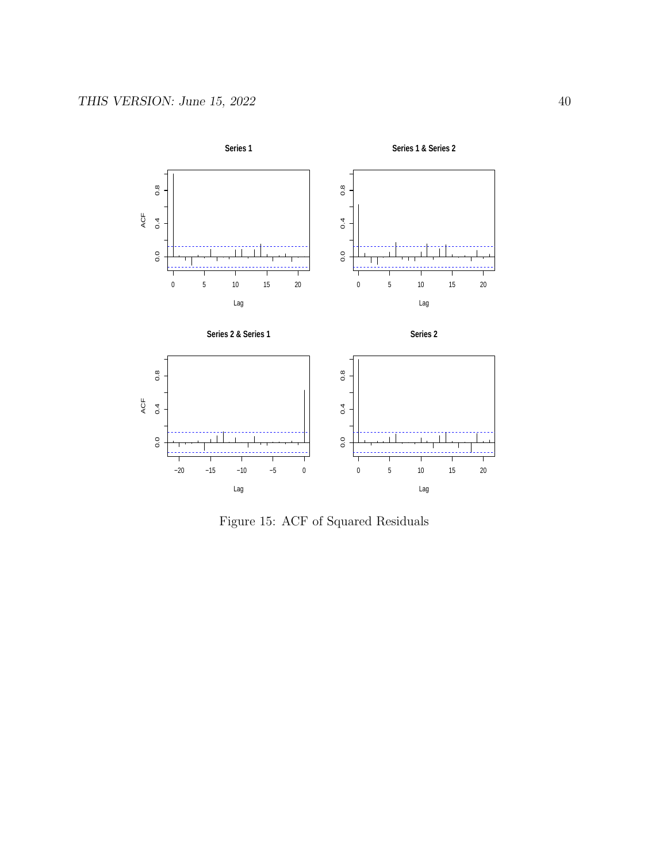

Figure 15: ACF of Squared Residuals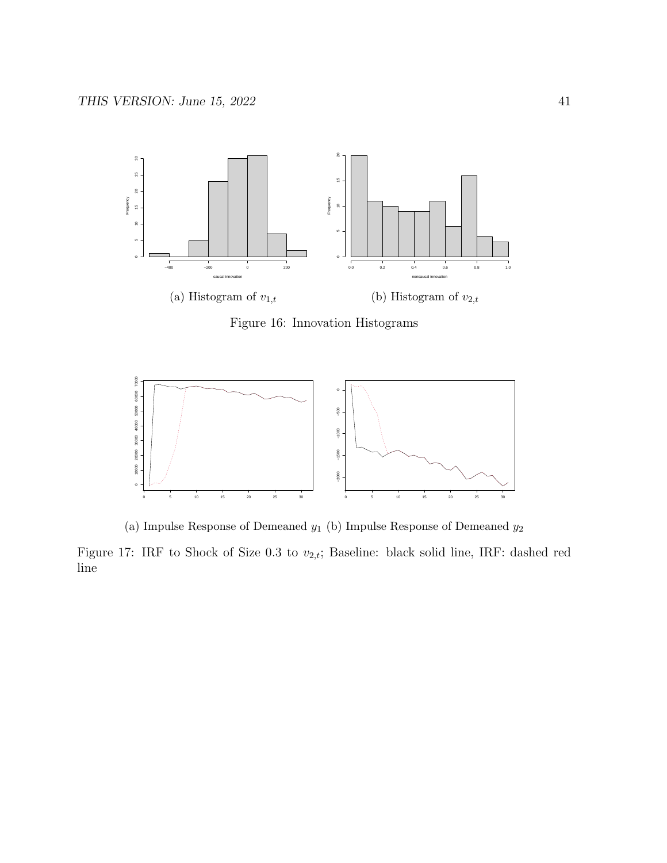

Figure 16: Innovation Histograms



(a) Impulse Response of Demeaned  $y_1$  (b) Impulse Response of Demeaned  $y_2$ 

Figure 17: IRF to Shock of Size 0.3 to  $v_{2,t}$ ; Baseline: black solid line, IRF: dashed red line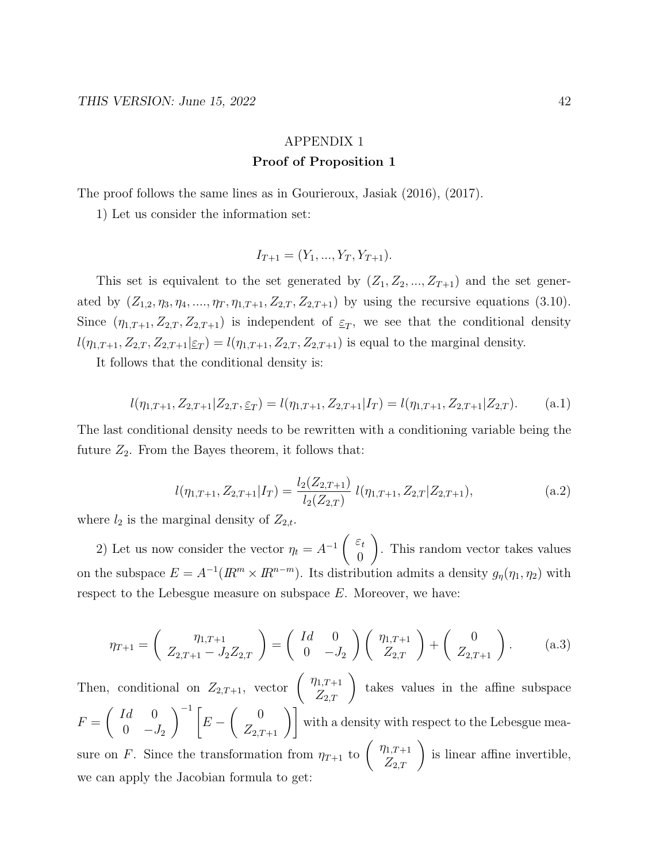## APPENDIX 1 Proof of Proposition 1

The proof follows the same lines as in Gourieroux, Jasiak (2016), (2017).

1) Let us consider the information set:

$$
I_{T+1} = (Y_1, ..., Y_T, Y_{T+1}).
$$

This set is equivalent to the set generated by  $(Z_1, Z_2, ..., Z_{T+1})$  and the set generated by  $(Z_{1,2}, \eta_3, \eta_4, \ldots, \eta_T, \eta_{1,T+1}, Z_{2,T}, Z_{2,T+1})$  by using the recursive equations (3.10). Since  $(\eta_{1,T+1}, Z_{2,T}, Z_{2,T+1})$  is independent of  $\xi_T$ , we see that the conditional density  $l(\eta_{1,T+1}, Z_{2,T}, Z_{2,T+1} | \underline{\varepsilon}_T) = l(\eta_{1,T+1}, Z_{2,T}, Z_{2,T+1})$  is equal to the marginal density.

It follows that the conditional density is:

$$
l(\eta_{1,T+1}, Z_{2,T+1}|Z_{2,T}, \underline{\varepsilon}_T) = l(\eta_{1,T+1}, Z_{2,T+1}|I_T) = l(\eta_{1,T+1}, Z_{2,T+1}|Z_{2,T}).
$$
 (a.1)

The last conditional density needs to be rewritten with a conditioning variable being the future  $Z_2$ . From the Bayes theorem, it follows that:

$$
l(\eta_{1,T+1}, Z_{2,T+1}|I_T) = \frac{l_2(Z_{2,T+1})}{l_2(Z_{2,T})} l(\eta_{1,T+1}, Z_{2,T}|Z_{2,T+1}),
$$
\n
$$
(a.2)
$$

where  $l_2$  is the marginal density of  $Z_{2,t}$ .

2) Let us now consider the vector  $\eta_t = A^{-1} \begin{pmatrix} \varepsilon_t \\ 0 \end{pmatrix}$ 0  $\setminus$ . This random vector takes values on the subspace  $E = A^{-1}(I\!\!R^m \times I\!\!R^{n-m})$ . Its distribution admits a density  $g_{\eta}(\eta_1, \eta_2)$  with respect to the Lebesgue measure on subspace  $E$ . Moreover, we have:

$$
\eta_{T+1} = \begin{pmatrix} \eta_{1,T+1} \\ Z_{2,T+1} - J_2 Z_{2,T} \end{pmatrix} = \begin{pmatrix} Id & 0 \\ 0 & -J_2 \end{pmatrix} \begin{pmatrix} \eta_{1,T+1} \\ Z_{2,T} \end{pmatrix} + \begin{pmatrix} 0 \\ Z_{2,T+1} \end{pmatrix}.
$$
 (a.3)

Then, conditional on  $Z_{2,T+1}$ , vector  $\begin{pmatrix} \eta_{1,T+1} \\ Z_{2,T} \end{pmatrix}$ takes values in the affine subspace  $F =$  $\int Id$  0 0  $-J_2$  $\setminus^{-1}$  [  $E \begin{pmatrix} 0 \\ Z_{2,T+1} \end{pmatrix}$  with a density with respect to the Lebesgue measure on F. Since the transformation from  $\eta_{T+1}$  to  $\begin{pmatrix} \eta_{1,T+1} \\ Z_{2,T} \end{pmatrix}$ is linear affine invertible, we can apply the Jacobian formula to get: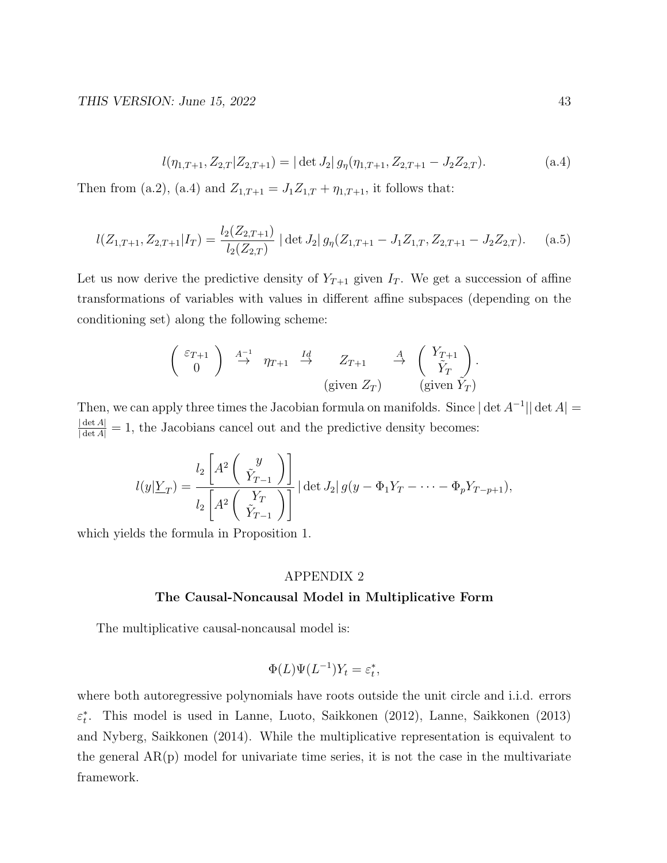$$
l(\eta_{1,T+1}, Z_{2,T}|Z_{2,T+1}) = |\det J_2| g_{\eta}(\eta_{1,T+1}, Z_{2,T+1} - J_2 Z_{2,T}).
$$
\n
$$
(a.4)
$$

Then from (a.2), (a.4) and  $Z_{1,T+1} = J_1 Z_{1,T} + \eta_{1,T+1}$ , it follows that:

$$
l(Z_{1,T+1}, Z_{2,T+1}|I_T) = \frac{l_2(Z_{2,T+1})}{l_2(Z_{2,T})} | \det J_2 | g_{\eta}(Z_{1,T+1} - J_1 Z_{1,T}, Z_{2,T+1} - J_2 Z_{2,T}). \tag{a.5}
$$

Let us now derive the predictive density of  $Y_{T+1}$  given  $I_T$ . We get a succession of affine transformations of variables with values in different affine subspaces (depending on the conditioning set) along the following scheme:

$$
\begin{pmatrix}\n\varepsilon_{T+1} \\
0\n\end{pmatrix}\n\stackrel{A^{-1}}{\rightarrow}\n\eta_{T+1}\n\stackrel{Id}{\rightarrow}\nZ_{T+1}\n\stackrel{A}{\rightarrow}\n\begin{pmatrix}\nY_{T+1} \\
\tilde{Y}_T\n\end{pmatrix}.
$$
\n(given  $Z_T$ )\n(given  $\tilde{Y}_T$ )

Then, we can apply three times the Jacobian formula on manifolds. Since  $|\det A^{-1}|| \det A|$  $\frac{|\det A|}{|\det A|} = 1$ , the Jacobians cancel out and the predictive density becomes:

$$
l(y|Y_T) = \frac{l_2 \left[ A^2 \begin{pmatrix} y \\ \tilde{Y}_{T-1} \end{pmatrix} \right]}{l_2 \left[ A^2 \begin{pmatrix} Y_T \\ \tilde{Y}_{T-1} \end{pmatrix} \right]} | \det J_2 | g(y - \Phi_1 Y_T - \dots - \Phi_p Y_{T-p+1}),
$$

which yields the formula in Proposition 1.

#### APPENDIX 2

#### The Causal-Noncausal Model in Multiplicative Form

The multiplicative causal-noncausal model is:

$$
\Phi(L)\Psi(L^{-1})Y_t = \varepsilon_t^*,
$$

where both autoregressive polynomials have roots outside the unit circle and i.i.d. errors  $\varepsilon_t^*$ . This model is used in Lanne, Luoto, Saikkonen (2012), Lanne, Saikkonen (2013) and Nyberg, Saikkonen (2014). While the multiplicative representation is equivalent to the general  $AR(p)$  model for univariate time series, it is not the case in the multivariate framework.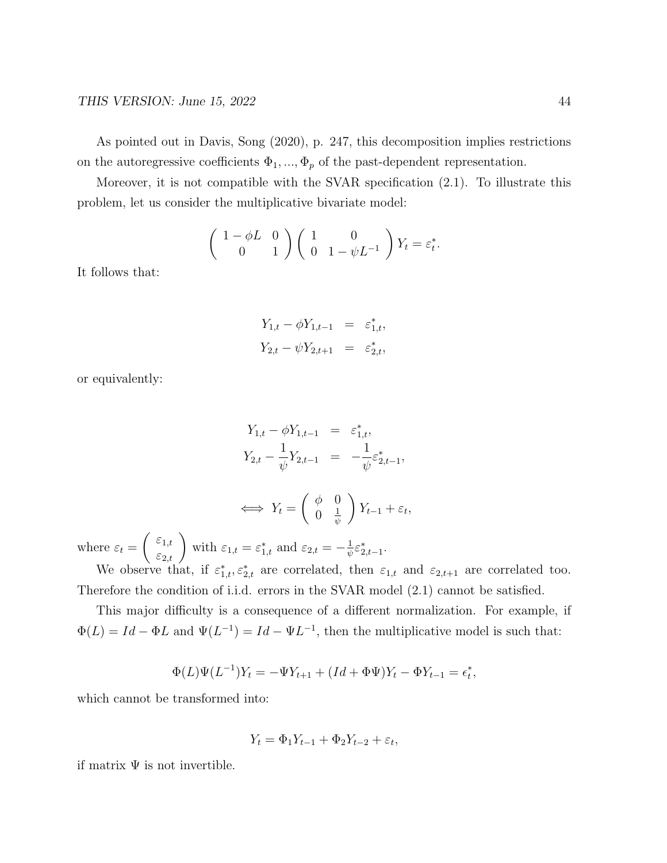As pointed out in Davis, Song (2020), p. 247, this decomposition implies restrictions on the autoregressive coefficients  $\Phi_1, ..., \Phi_p$  of the past-dependent representation.

Moreover, it is not compatible with the SVAR specification (2.1). To illustrate this problem, let us consider the multiplicative bivariate model:

$$
\begin{pmatrix} 1 - \phi L & 0 \\ 0 & 1 \end{pmatrix} \begin{pmatrix} 1 & 0 \\ 0 & 1 - \psi L^{-1} \end{pmatrix} Y_t = \varepsilon_t^*.
$$

It follows that:

$$
Y_{1,t} - \phi Y_{1,t-1} = \varepsilon_{1,t}^*,
$$
  

$$
Y_{2,t} - \psi Y_{2,t+1} = \varepsilon_{2,t}^*,
$$

or equivalently:

$$
Y_{1,t} - \phi Y_{1,t-1} = \varepsilon_{1,t}^*,
$$
  
\n
$$
Y_{2,t} - \frac{1}{\psi} Y_{2,t-1} = -\frac{1}{\psi} \varepsilon_{2,t-1}^*,
$$
  
\n
$$
\iff Y_t = \begin{pmatrix} \phi & 0 \\ 0 & \frac{1}{\psi} \end{pmatrix} Y_{t-1} + \varepsilon_t,
$$

where  $\varepsilon_t =$  $\begin{pmatrix} \varepsilon_{1,t} \\ \varepsilon_{2,t} \end{pmatrix}$  with  $\varepsilon_{1,t} = \varepsilon_{1,t}^*$  and  $\varepsilon_{2,t} = -\frac{1}{\psi}$  $\frac{1}{\psi} \varepsilon_{2,t-1}^*$ .

We observe that, if  $\varepsilon_{1,t}^*, \varepsilon_{2,t}^*$  are correlated, then  $\varepsilon_{1,t}$  and  $\varepsilon_{2,t+1}$  are correlated too. Therefore the condition of i.i.d. errors in the SVAR model (2.1) cannot be satisfied.

This major difficulty is a consequence of a different normalization. For example, if  $\Phi(L) = Id - \Phi L$  and  $\Psi(L^{-1}) = Id - \Psi L^{-1}$ , then the multiplicative model is such that:

$$
\Phi(L)\Psi(L^{-1})Y_t = -\Psi Y_{t+1} + (Id + \Phi\Psi)Y_t - \Phi Y_{t-1} = \epsilon_t^*,
$$

which cannot be transformed into:

$$
Y_t = \Phi_1 Y_{t-1} + \Phi_2 Y_{t-2} + \varepsilon_t,
$$

if matrix  $\Psi$  is not invertible.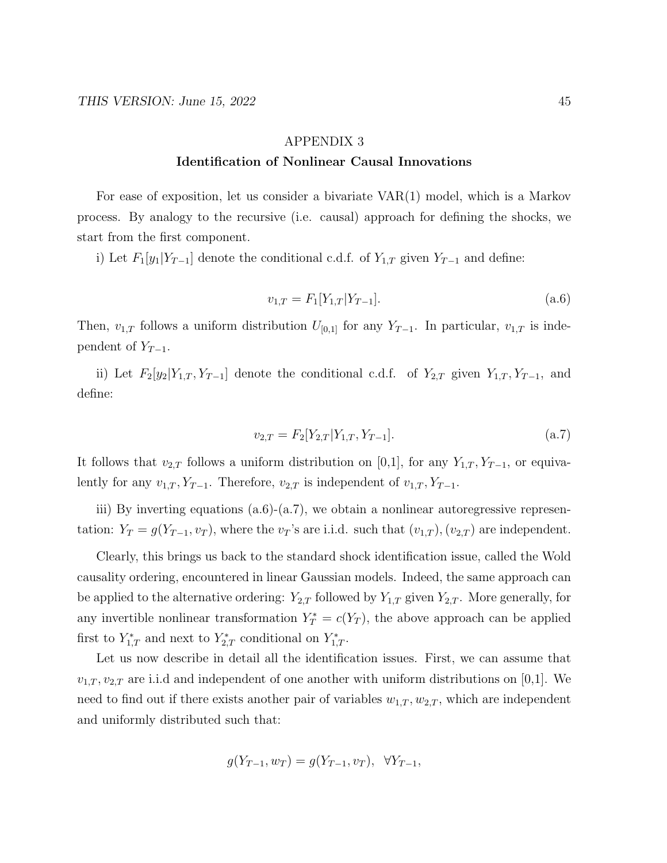#### APPENDIX 3

### Identification of Nonlinear Causal Innovations

For ease of exposition, let us consider a bivariate VAR(1) model, which is a Markov process. By analogy to the recursive (i.e. causal) approach for defining the shocks, we start from the first component.

i) Let  $F_1[y_1|Y_{T-1}]$  denote the conditional c.d.f. of  $Y_{1,T}$  given  $Y_{T-1}$  and define:

$$
v_{1,T} = F_1[Y_{1,T}|Y_{T-1}].
$$
\n
$$
(a.6)
$$

Then,  $v_{1,T}$  follows a uniform distribution  $U_{[0,1]}$  for any  $Y_{T-1}$ . In particular,  $v_{1,T}$  is independent of  $Y_{T-1}$ .

ii) Let  $F_2[y_2|Y_{1,T}, Y_{T-1}]$  denote the conditional c.d.f. of  $Y_{2,T}$  given  $Y_{1,T}, Y_{T-1}$ , and define:

$$
v_{2,T} = F_2[Y_{2,T}|Y_{1,T}, Y_{T-1}].
$$
\n
$$
(a.7)
$$

It follows that  $v_{2,T}$  follows a uniform distribution on [0,1], for any  $Y_{1,T}$ ,  $Y_{T-1}$ , or equivalently for any  $v_{1,T}$ ,  $Y_{T-1}$ . Therefore,  $v_{2,T}$  is independent of  $v_{1,T}$ ,  $Y_{T-1}$ .

iii) By inverting equations  $(a.6)-(a.7)$ , we obtain a nonlinear autoregressive representation:  $Y_T = g(Y_{T-1}, v_T)$ , where the  $v_T$ 's are i.i.d. such that  $(v_{1,T})$ ,  $(v_{2,T})$  are independent.

Clearly, this brings us back to the standard shock identification issue, called the Wold causality ordering, encountered in linear Gaussian models. Indeed, the same approach can be applied to the alternative ordering:  $Y_{2,T}$  followed by  $Y_{1,T}$  given  $Y_{2,T}$ . More generally, for any invertible nonlinear transformation  $Y_T^* = c(Y_T)$ , the above approach can be applied first to  $Y_{1,T}^*$  and next to  $Y_{2,T}^*$  conditional on  $Y_{1,T}^*$ .

Let us now describe in detail all the identification issues. First, we can assume that  $v_{1,T}, v_{2,T}$  are i.i.d and independent of one another with uniform distributions on [0,1]. We need to find out if there exists another pair of variables  $w_{1,T}$ ,  $w_{2,T}$ , which are independent and uniformly distributed such that:

$$
g(Y_{T-1}, w_T) = g(Y_{T-1}, v_T), \ \forall Y_{T-1},
$$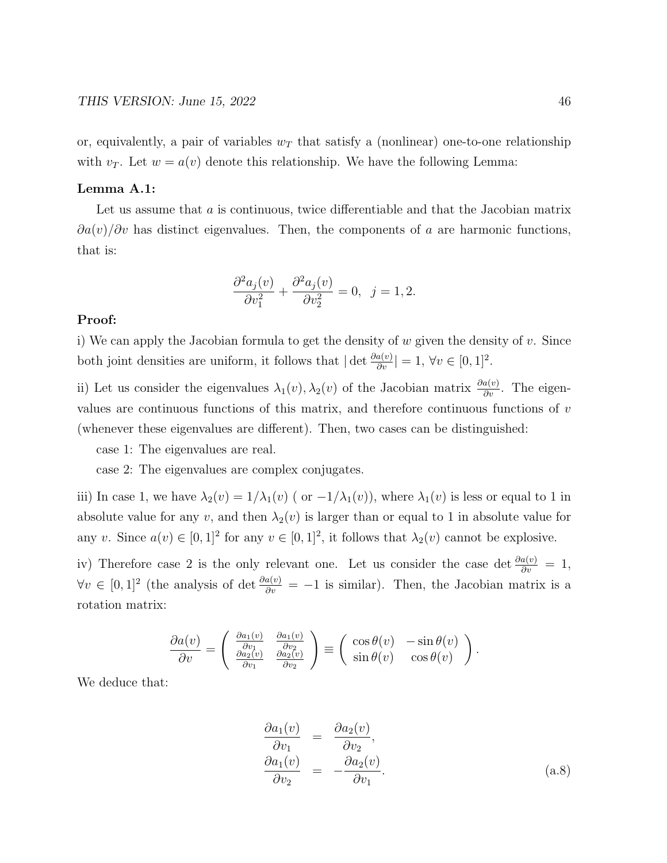or, equivalently, a pair of variables  $w_T$  that satisfy a (nonlinear) one-to-one relationship with  $v_T$ . Let  $w = a(v)$  denote this relationship. We have the following Lemma:

#### Lemma A.1:

Let us assume that a is continuous, twice differentiable and that the Jacobian matrix  $\partial a(v)/\partial v$  has distinct eigenvalues. Then, the components of a are harmonic functions, that is:

$$
\frac{\partial^2 a_j(v)}{\partial v_1^2} + \frac{\partial^2 a_j(v)}{\partial v_2^2} = 0, \ \ j = 1, 2.
$$

#### Proof:

i) We can apply the Jacobian formula to get the density of  $w$  given the density of  $v$ . Since both joint densities are uniform, it follows that  $|\det \frac{\partial a(v)}{\partial v}| = 1$ ,  $\forall v \in [0, 1]^2$ .

ii) Let us consider the eigenvalues  $\lambda_1(v), \lambda_2(v)$  of the Jacobian matrix  $\frac{\partial a(v)}{\partial v}$ . The eigenvalues are continuous functions of this matrix, and therefore continuous functions of  $v$ (whenever these eigenvalues are different). Then, two cases can be distinguished:

case 1: The eigenvalues are real.

case 2: The eigenvalues are complex conjugates.

iii) In case 1, we have  $\lambda_2(v) = 1/\lambda_1(v)$  ( or  $-1/\lambda_1(v)$ ), where  $\lambda_1(v)$  is less or equal to 1 in absolute value for any v, and then  $\lambda_2(v)$  is larger than or equal to 1 in absolute value for any v. Since  $a(v) \in [0,1]^2$  for any  $v \in [0,1]^2$ , it follows that  $\lambda_2(v)$  cannot be explosive.

iv) Therefore case 2 is the only relevant one. Let us consider the case det  $\frac{\partial a(v)}{\partial v} = 1$ ,  $\forall v \in [0,1]^2$  (the analysis of det  $\frac{\partial a(v)}{\partial v} = -1$  is similar). Then, the Jacobian matrix is a rotation matrix:

$$
\frac{\partial a(v)}{\partial v} = \begin{pmatrix} \frac{\partial a_1(v)}{\partial v_1} & \frac{\partial a_1(v)}{\partial v_2} \\ \frac{\partial a_2(v)}{\partial v_1} & \frac{\partial a_2(v)}{\partial v_2} \end{pmatrix} \equiv \begin{pmatrix} \cos \theta(v) & -\sin \theta(v) \\ \sin \theta(v) & \cos \theta(v) \end{pmatrix}.
$$

We deduce that:

$$
\frac{\partial a_1(v)}{\partial v_1} = \frac{\partial a_2(v)}{\partial v_2}, \n\frac{\partial a_1(v)}{\partial v_2} = -\frac{\partial a_2(v)}{\partial v_1}.
$$
\n(a.8)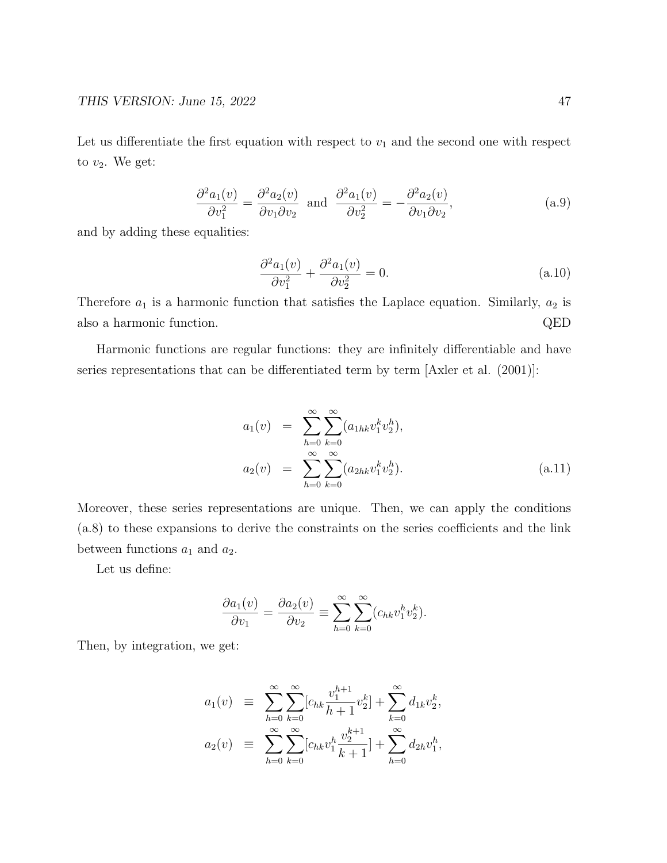Let us differentiate the first equation with respect to  $v_1$  and the second one with respect to  $v_2$ . We get:

$$
\frac{\partial^2 a_1(v)}{\partial v_1^2} = \frac{\partial^2 a_2(v)}{\partial v_1 \partial v_2} \text{ and } \frac{\partial^2 a_1(v)}{\partial v_2^2} = -\frac{\partial^2 a_2(v)}{\partial v_1 \partial v_2},
$$
\n(a.9)

and by adding these equalities:

$$
\frac{\partial^2 a_1(v)}{\partial v_1^2} + \frac{\partial^2 a_1(v)}{\partial v_2^2} = 0.
$$
\n
$$
(a.10)
$$

Therefore  $a_1$  is a harmonic function that satisfies the Laplace equation. Similarly,  $a_2$  is also a harmonic function. QED

Harmonic functions are regular functions: they are infinitely differentiable and have series representations that can be differentiated term by term [Axler et al. (2001)]:

$$
a_1(v) = \sum_{h=0}^{\infty} \sum_{k=0}^{\infty} (a_{1hk} v_1^k v_2^h),
$$
  
\n
$$
a_2(v) = \sum_{h=0}^{\infty} \sum_{k=0}^{\infty} (a_{2hk} v_1^k v_2^h).
$$
\n(a.11)

Moreover, these series representations are unique. Then, we can apply the conditions (a.8) to these expansions to derive the constraints on the series coefficients and the link between functions  $a_1$  and  $a_2$ .

Let us define:

$$
\frac{\partial a_1(v)}{\partial v_1} = \frac{\partial a_2(v)}{\partial v_2} \equiv \sum_{h=0}^{\infty} \sum_{k=0}^{\infty} (c_{hk} v_1^h v_2^k).
$$

Then, by integration, we get:

$$
a_1(v) \equiv \sum_{h=0}^{\infty} \sum_{k=0}^{\infty} [c_{hk} \frac{v_1^{h+1}}{h+1} v_2^k] + \sum_{k=0}^{\infty} d_{1k} v_2^k,
$$
  

$$
a_2(v) \equiv \sum_{h=0}^{\infty} \sum_{k=0}^{\infty} [c_{hk} v_1^h \frac{v_2^{k+1}}{k+1}] + \sum_{h=0}^{\infty} d_{2h} v_1^h,
$$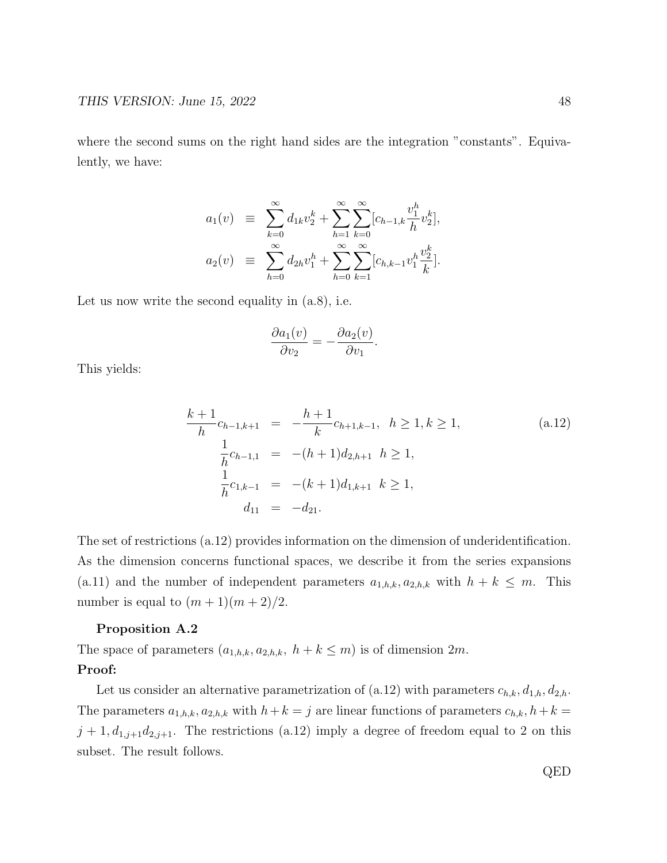where the second sums on the right hand sides are the integration "constants". Equivalently, we have:

$$
a_1(v) \equiv \sum_{k=0}^{\infty} d_{1k} v_2^k + \sum_{h=1}^{\infty} \sum_{k=0}^{\infty} [c_{h-1,k} \frac{v_1^h}{h} v_2^k],
$$
  

$$
a_2(v) \equiv \sum_{h=0}^{\infty} d_{2h} v_1^h + \sum_{h=0}^{\infty} \sum_{k=1}^{\infty} [c_{h,k-1} v_1^h \frac{v_2^k}{k}].
$$

Let us now write the second equality in  $(a.8)$ , i.e.

$$
\frac{\partial a_1(v)}{\partial v_2} = -\frac{\partial a_2(v)}{\partial v_1}.
$$

This yields:

$$
\frac{k+1}{h}c_{h-1,k+1} = -\frac{h+1}{k}c_{h+1,k-1}, \quad h \ge 1, k \ge 1,
$$
\n
$$
\frac{1}{h}c_{h-1,1} = -(h+1)d_{2,h+1} \quad h \ge 1,
$$
\n
$$
\frac{1}{h}c_{1,k-1} = -(k+1)d_{1,k+1} \quad k \ge 1,
$$
\n
$$
d_{11} = -d_{21}.
$$
\n(8.12)

The set of restrictions (a.12) provides information on the dimension of underidentification. As the dimension concerns functional spaces, we describe it from the series expansions (a.11) and the number of independent parameters  $a_{1,h,k}$ ,  $a_{2,h,k}$  with  $h + k \leq m$ . This number is equal to  $(m + 1)(m + 2)/2$ .

#### Proposition A.2

The space of parameters  $(a_{1,h,k}, a_{2,h,k}, h+k \leq m)$  is of dimension  $2m$ . Proof:

Let us consider an alternative parametrization of (a.12) with parameters  $c_{h,k}, d_{1,h}, d_{2,h}$ . The parameters  $a_{1,h,k}$ ,  $a_{2,h,k}$  with  $h+k=j$  are linear functions of parameters  $c_{h,k}$ ,  $h+k=j$  $j + 1, d_{1,j+1}d_{2,j+1}$ . The restrictions (a.12) imply a degree of freedom equal to 2 on this subset. The result follows.

QED